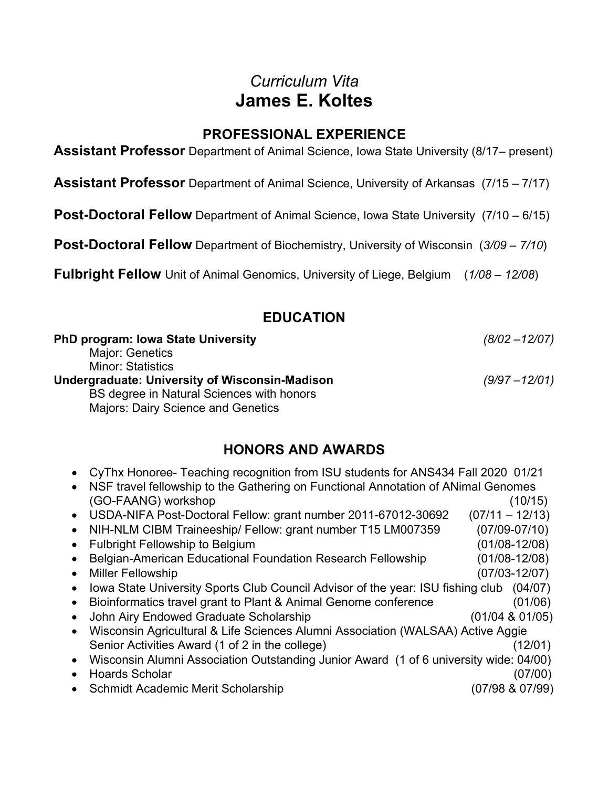# *Curriculum Vita* **James E. Koltes**

# **PROFESSIONAL EXPERIENCE**

**Assistant Professor** Department of Animal Science, Iowa State University (8/17– present)

**Assistant Professor** Department of Animal Science, University of Arkansas (7/15 – 7/17)

**Post-Doctoral Fellow** Department of Animal Science, Iowa State University (7/10 – 6/15)

**Post-Doctoral Fellow** Department of Biochemistry, University of Wisconsin (*3/09 – 7/10*)

**Fulbright Fellow** Unit of Animal Genomics, University of Liege, Belgium (*1/08 – 12/08*)

## **EDUCATION**

| <b>PhD program: Iowa State University</b>             | $(8/02 - 12/07)$ |
|-------------------------------------------------------|------------------|
| Major: Genetics                                       |                  |
| <b>Minor: Statistics</b>                              |                  |
| <b>Undergraduate: University of Wisconsin-Madison</b> | $(9/97 - 12/01)$ |
| BS degree in Natural Sciences with honors             |                  |
| <b>Majors: Dairy Science and Genetics</b>             |                  |

# **HONORS AND AWARDS**

| • CyThx Honoree- Teaching recognition from ISU students for ANS434 Fall 2020 01/21 |  |  |  |
|------------------------------------------------------------------------------------|--|--|--|
|                                                                                    |  |  |  |

- NSF travel fellowship to the Gathering on Functional Annotation of ANimal Genomes (GO-FAANG) workshop (10/15) • USDA-NIFA Post-Doctoral Fellow: grant number  $2011-67012-30692$   $(07/11-12/13)$ • NIH-NLM CIBM Traineeship/ Fellow: grant number T15 LM007359 (07/09-07/10) • Fulbright Fellowship to Belgium (01/08-12/08) • Belgian-American Educational Foundation Research Fellowship (01/08-12/08) • Miller Fellowship (07/03-12/07)
- Iowa State University Sports Club Council Advisor of the year: ISU fishing club (04/07)
- Bioinformatics travel grant to Plant & Animal Genome conference (01/06)
- John Airy Endowed Graduate Scholarship (01/04 & 01/05)
- Wisconsin Agricultural & Life Sciences Alumni Association (WALSAA) Active Aggie Senior Activities Award (1 of 2 in the college) (12/01)
- Wisconsin Alumni Association Outstanding Junior Award (1 of 6 university wide: 04/00)
- Hoards Scholar (07/00) • Schmidt Academic Merit Scholarship (07/98 & 07/99)
-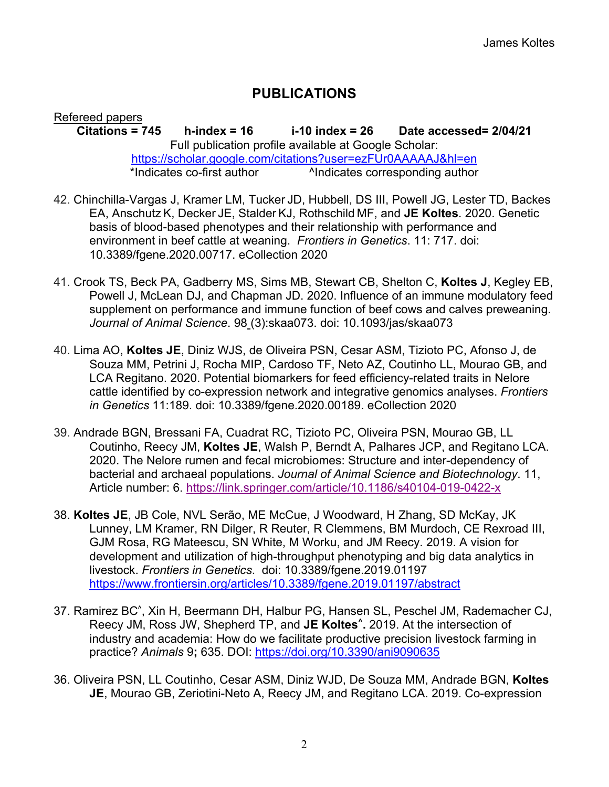# **PUBLICATIONS**

Refereed papers **Citations = 745 h-index = 16 i-10 index = 26 Date accessed= 2/04/21** Full publication profile available at Google Scholar: https://scholar.google.com/citations?user=ezFUr0AAAAAJ&hl=en \*Indicates co-first author **AIndicates corresponding author** 

- 42. Chinchilla-Vargas J, Kramer LM, Tucker JD, Hubbell, DS III, Powell JG, Lester TD, Backes EA, Anschutz K, Decker JE, Stalder KJ, Rothschild MF, and **JE Koltes**. 2020. Genetic basis of blood-based phenotypes and their relationship with performance and environment in beef cattle at weaning. *Frontiers in Genetics*. 11: 717. doi: 10.3389/fgene.2020.00717. eCollection 2020
- 41. Crook TS, Beck PA, Gadberry MS, Sims MB, Stewart CB, Shelton C, **Koltes J**, Kegley EB, Powell J, McLean DJ, and Chapman JD. 2020. Influence of an immune modulatory feed supplement on performance and immune function of beef cows and calves preweaning. *Journal of Animal Science*. 98 (3):skaa073. doi: 10.1093/jas/skaa073
- 40. Lima AO, **Koltes JE**, Diniz WJS, de Oliveira PSN, Cesar ASM, Tizioto PC, Afonso J, de Souza MM, Petrini J, Rocha MIP, Cardoso TF, Neto AZ, Coutinho LL, Mourao GB, and LCA Regitano. 2020. Potential biomarkers for feed efficiency-related traits in Nelore cattle identified by co-expression network and integrative genomics analyses. *Frontiers in Genetics* 11:189. doi: 10.3389/fgene.2020.00189. eCollection 2020
- 39. Andrade BGN, Bressani FA, Cuadrat RC, Tizioto PC, Oliveira PSN, Mourao GB, LL Coutinho, Reecy JM, **Koltes JE**, Walsh P, Berndt A, Palhares JCP, and Regitano LCA. 2020. The Nelore rumen and fecal microbiomes: Structure and inter-dependency of bacterial and archaeal populations. *Journal of Animal Science and Biotechnology*. 11, Article number: 6. https://link.springer.com/article/10.1186/s40104-019-0422-x
- 38. **Koltes JE**, JB Cole, NVL Serão, ME McCue, J Woodward, H Zhang, SD McKay, JK Lunney, LM Kramer, RN Dilger, R Reuter, R Clemmens, BM Murdoch, CE Rexroad III, GJM Rosa, RG Mateescu, SN White, M Worku, and JM Reecy. 2019. A vision for development and utilization of high-throughput phenotyping and big data analytics in livestock. *Frontiers in Genetics*. doi: 10.3389/fgene.2019.01197 https://www.frontiersin.org/articles/10.3389/fgene.2019.01197/abstract
- 37. Ramirez BC^ , Xin H, Beermann DH, Halbur PG, Hansen SL, Peschel JM, Rademacher CJ, Reecy JM, Ross JW, Shepherd TP, and **JE Koltes^.** 2019. At the intersection of industry and academia: How do we facilitate productive precision livestock farming in practice? *Animals* 9**;** 635. DOI: https://doi.org/10.3390/ani9090635
- 36. Oliveira PSN, LL Coutinho, Cesar ASM, Diniz WJD, De Souza MM, Andrade BGN, **Koltes JE**, Mourao GB, Zeriotini-Neto A, Reecy JM, and Regitano LCA. 2019. Co-expression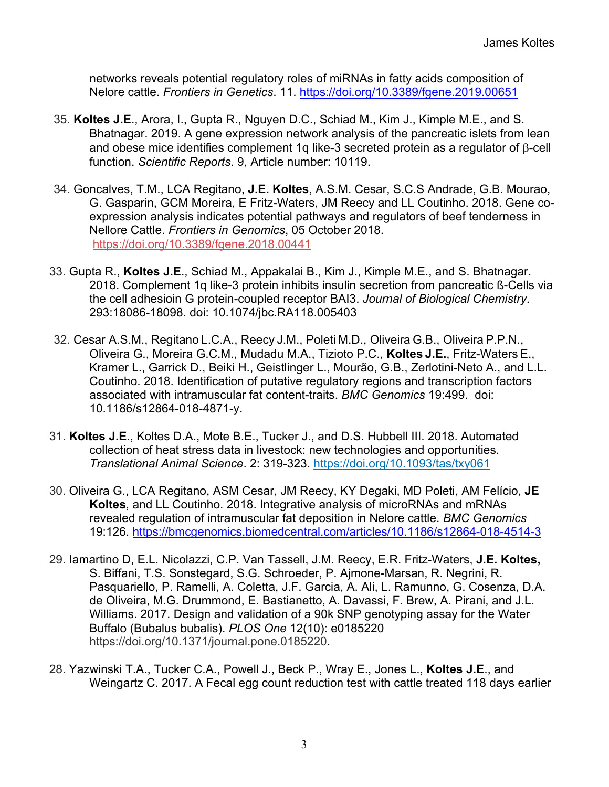networks reveals potential regulatory roles of miRNAs in fatty acids composition of Nelore cattle. *Frontiers in Genetics*. 11. https://doi.org/10.3389/fgene.2019.00651

- 35. **Koltes J.E**., Arora, I., Gupta R., Nguyen D.C., Schiad M., Kim J., Kimple M.E., and S. Bhatnagar. 2019. A gene expression network analysis of the pancreatic islets from lean and obese mice identifies complement 1q like-3 secreted protein as a regulator of  $\beta$ -cell function. *Scientific Reports*. 9, Article number: 10119.
- 34. Goncalves, T.M., LCA Regitano, **J.E. Koltes**, A.S.M. Cesar, S.C.S Andrade, G.B. Mourao, G. Gasparin, GCM Moreira, E Fritz-Waters, JM Reecy and LL Coutinho. 2018. Gene coexpression analysis indicates potential pathways and regulators of beef tenderness in Nellore Cattle. *Frontiers in Genomics*, 05 October 2018. https://doi.org/10.3389/fgene.2018.00441
- 33. Gupta R., **Koltes J.E**., Schiad M., Appakalai B., Kim J., Kimple M.E., and S. Bhatnagar. 2018. Complement 1q like-3 protein inhibits insulin secretion from pancreatic ß-Cells via the cell adhesioin G protein-coupled receptor BAI3. *Journal of Biological Chemistry*. 293:18086-18098. doi: 10.1074/jbc.RA118.005403
- 32. Cesar A.S.M., Regitano L.C.A., Reecy J.M., Poleti M.D., Oliveira G.B., Oliveira P.P.N., Oliveira G., Moreira G.C.M., Mudadu M.A., Tizioto P.C., **Koltes J.E.**, Fritz-Waters E., Kramer L., Garrick D., Beiki H., Geistlinger L., Mourão, G.B., Zerlotini-Neto A., and L.L. Coutinho. 2018. Identification of putative regulatory regions and transcription factors associated with intramuscular fat content-traits. *BMC Genomics* 19:499. doi: 10.1186/s12864-018-4871-y.
- 31. **Koltes J.E**., Koltes D.A., Mote B.E., Tucker J., and D.S. Hubbell III. 2018. Automated collection of heat stress data in livestock: new technologies and opportunities. *Translational Animal Science*. 2: 319-323. https://doi.org/10.1093/tas/txy061
- 30. Oliveira G., LCA Regitano, ASM Cesar, JM Reecy, KY Degaki, MD Poleti, AM Felício, **JE Koltes**, and LL Coutinho. 2018. Integrative analysis of microRNAs and mRNAs revealed regulation of intramuscular fat deposition in Nelore cattle. *BMC Genomics* 19:126. https://bmcgenomics.biomedcentral.com/articles/10.1186/s12864-018-4514-3
- 29. Iamartino D, E.L. Nicolazzi, C.P. Van Tassell, J.M. Reecy, E.R. Fritz-Waters, **J.E. Koltes,** S. Biffani, T.S. Sonstegard, S.G. Schroeder, P. Ajmone-Marsan, R. Negrini, R. Pasquariello, P. Ramelli, A. Coletta, J.F. Garcia, A. Ali, L. Ramunno, G. Cosenza, D.A. de Oliveira, M.G. Drummond, E. Bastianetto, A. Davassi, F. Brew, A. Pirani, and J.L. Williams. 2017. Design and validation of a 90k SNP genotyping assay for the Water Buffalo (Bubalus bubalis). *PLOS One* 12(10): e0185220 https://doi.org/10.1371/journal.pone.0185220.
- 28. Yazwinski T.A., Tucker C.A., Powell J., Beck P., Wray E., Jones L., **Koltes J.E**., and Weingartz C. 2017. A Fecal egg count reduction test with cattle treated 118 days earlier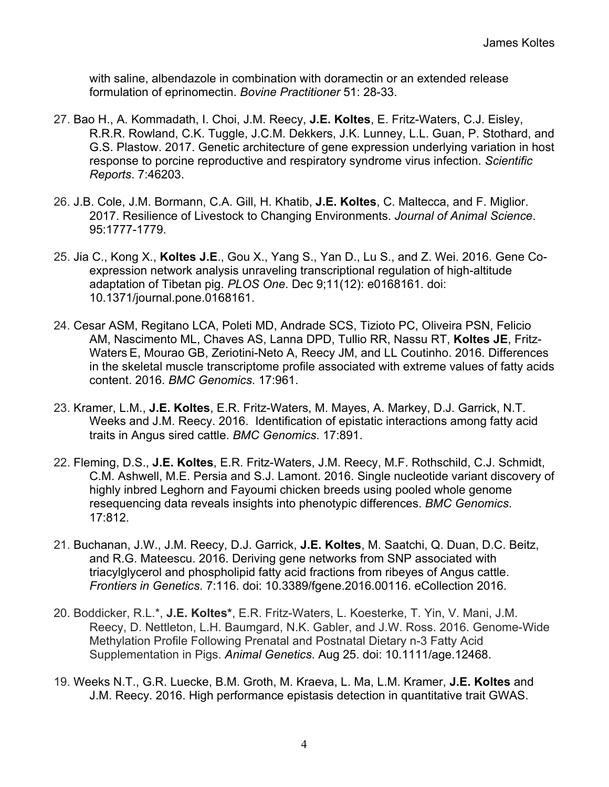with saline, albendazole in combination with doramectin or an extended release formulation of eprinomectin. *Bovine Practitioner* 51: 28-33.

- 27. Bao H., A. Kommadath, I. Choi, J.M. Reecy, **J.E. Koltes**, E. Fritz-Waters, C.J. Eisley, R.R.R. Rowland, C.K. Tuggle, J.C.M. Dekkers, J.K. Lunney, L.L. Guan, P. Stothard, and G.S. Plastow. 2017. Genetic architecture of gene expression underlying variation in host response to porcine reproductive and respiratory syndrome virus infection. *Scientific Reports*. 7:46203.
- 26. J.B. Cole, J.M. Bormann, C.A. Gill, H. Khatib, **J.E. Koltes**, C. Maltecca, and F. Miglior. 2017. Resilience of Livestock to Changing Environments. *Journal of Animal Science*. 95:1777-1779.
- 25. Jia C., Kong X., **Koltes J.E**., Gou X., Yang S., Yan D., Lu S., and Z. Wei. 2016. Gene Coexpression network analysis unraveling transcriptional regulation of high-altitude adaptation of Tibetan pig. *PLOS One*. Dec 9;11(12): e0168161. doi: 10.1371/journal.pone.0168161.
- 24. Cesar ASM, Regitano LCA, Poleti MD, Andrade SCS, Tizioto PC, Oliveira PSN, Felicio AM, Nascimento ML, Chaves AS, Lanna DPD, Tullio RR, Nassu RT, **Koltes JE**, Fritz-Waters E, Mourao GB, Zeriotini-Neto A, Reecy JM, and LL Coutinho. 2016. Differences in the skeletal muscle transcriptome profile associated with extreme values of fatty acids content. 2016. *BMC Genomics*. 17:961.
- 23. Kramer, L.M., **J.E. Koltes**, E.R. Fritz-Waters, M. Mayes, A. Markey, D.J. Garrick, N.T. Weeks and J.M. Reecy. 2016. Identification of epistatic interactions among fatty acid traits in Angus sired cattle. *BMC Genomics*. 17:891.
- 22. Fleming, D.S., **J.E. Koltes**, E.R. Fritz-Waters, J.M. Reecy, M.F. Rothschild, C.J. Schmidt, C.M. Ashwell, M.E. Persia and S.J. Lamont. 2016. Single nucleotide variant discovery of highly inbred Leghorn and Fayoumi chicken breeds using pooled whole genome resequencing data reveals insights into phenotypic differences. *BMC Genomics*. 17:812.
- 21. Buchanan, J.W., J.M. Reecy, D.J. Garrick, **J.E. Koltes**, M. Saatchi, Q. Duan, D.C. Beitz, and R.G. Mateescu. 2016. Deriving gene networks from SNP associated with triacylglycerol and phospholipid fatty acid fractions from ribeyes of Angus cattle. *Frontiers in Genetics*. 7:116. doi: 10.3389/fgene.2016.00116. eCollection 2016.
- 20. Boddicker, R.L.\*, **J.E. Koltes\***, E.R. Fritz-Waters, L. Koesterke, T. Yin, V. Mani, J.M. Reecy, D. Nettleton, L.H. Baumgard, N.K. Gabler, and J.W. Ross. 2016. Genome-Wide Methylation Profile Following Prenatal and Postnatal Dietary n-3 Fatty Acid Supplementation in Pigs. *Animal Genetics*. Aug 25. doi: 10.1111/age.12468.
- 19. Weeks N.T., G.R. Luecke, B.M. Groth, M. Kraeva, L. Ma, L.M. Kramer, **J.E. Koltes** and J.M. Reecy. 2016. High performance epistasis detection in quantitative trait GWAS.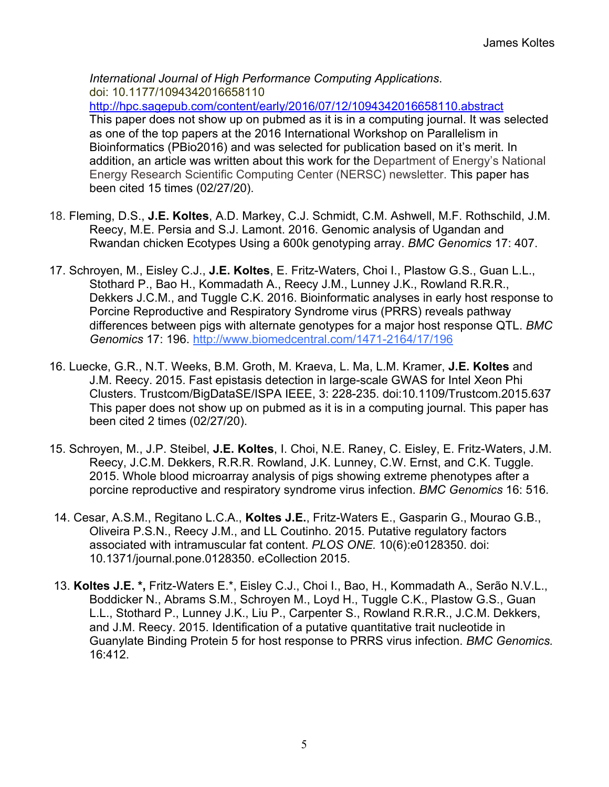*International Journal of High Performance Computing Applications*. doi: 10.1177/1094342016658110 http://hpc.sagepub.com/content/early/2016/07/12/1094342016658110.abstract This paper does not show up on pubmed as it is in a computing journal. It was selected as one of the top papers at the 2016 International Workshop on Parallelism in Bioinformatics (PBio2016) and was selected for publication based on it's merit. In addition, an article was written about this work for the Department of Energy's National Energy Research Scientific Computing Center (NERSC) newsletter. This paper has been cited 15 times (02/27/20).

- 18. Fleming, D.S., **J.E. Koltes**, A.D. Markey, C.J. Schmidt, C.M. Ashwell, M.F. Rothschild, J.M. Reecy, M.E. Persia and S.J. Lamont. 2016. Genomic analysis of Ugandan and Rwandan chicken Ecotypes Using a 600k genotyping array. *BMC Genomics* 17: 407.
- 17. Schroyen, M., Eisley C.J., **J.E. Koltes**, E. Fritz-Waters, Choi I., Plastow G.S., Guan L.L., Stothard P., Bao H., Kommadath A., Reecy J.M., Lunney J.K., Rowland R.R.R., Dekkers J.C.M., and Tuggle C.K. 2016. Bioinformatic analyses in early host response to Porcine Reproductive and Respiratory Syndrome virus (PRRS) reveals pathway differences between pigs with alternate genotypes for a major host response QTL. *BMC Genomics* 17: 196. http://www.biomedcentral.com/1471-2164/17/196
- 16. Luecke, G.R., N.T. Weeks, B.M. Groth, M. Kraeva, L. Ma, L.M. Kramer, **J.E. Koltes** and J.M. Reecy. 2015. Fast epistasis detection in large-scale GWAS for Intel Xeon Phi Clusters. Trustcom/BigDataSE/ISPA IEEE, 3: 228-235. doi:10.1109/Trustcom.2015.637 This paper does not show up on pubmed as it is in a computing journal. This paper has been cited 2 times (02/27/20).
- 15. Schroyen, M., J.P. Steibel, **J.E. Koltes**, I. Choi, N.E. Raney, C. Eisley, E. Fritz-Waters, J.M. Reecy, J.C.M. Dekkers, R.R.R. Rowland, J.K. Lunney, C.W. Ernst, and C.K. Tuggle. 2015. Whole blood microarray analysis of pigs showing extreme phenotypes after a porcine reproductive and respiratory syndrome virus infection. *BMC Genomics* 16: 516*.*
- 14. Cesar, A.S.M., Regitano L.C.A., **Koltes J.E.**, Fritz-Waters E., Gasparin G., Mourao G.B., Oliveira P.S.N., Reecy J.M., and LL Coutinho. 2015. Putative regulatory factors associated with intramuscular fat content. *PLOS ONE.* 10(6):e0128350. doi: 10.1371/journal.pone.0128350. eCollection 2015.
- 13. **Koltes J.E. \*,** Fritz-Waters E.\*, Eisley C.J., Choi I., Bao, H., Kommadath A., Serão N.V.L., Boddicker N., Abrams S.M., Schroyen M., Loyd H., Tuggle C.K., Plastow G.S., Guan L.L., Stothard P., Lunney J.K., Liu P., Carpenter S., Rowland R.R.R., J.C.M. Dekkers, and J.M. Reecy. 2015. Identification of a putative quantitative trait nucleotide in Guanylate Binding Protein 5 for host response to PRRS virus infection. *BMC Genomics.* 16:412.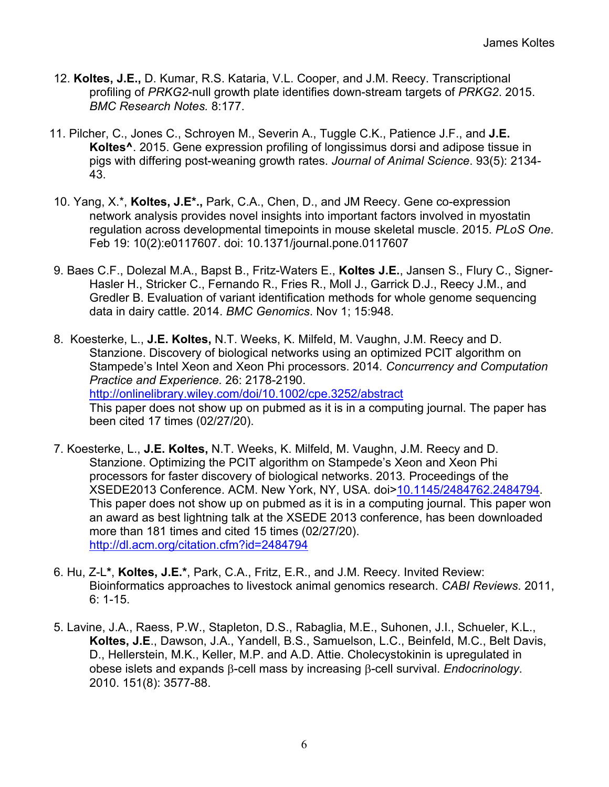- 12. **Koltes, J.E.,** D. Kumar, R.S. Kataria, V.L. Cooper, and J.M. Reecy. Transcriptional profiling of *PRKG2*-null growth plate identifies down-stream targets of *PRKG2*. 2015. *BMC Research Notes.* 8:177.
- 11. Pilcher, C., Jones C., Schroyen M., Severin A., Tuggle C.K., Patience J.F., and **J.E. Koltes^**. 2015. Gene expression profiling of longissimus dorsi and adipose tissue in pigs with differing post-weaning growth rates. *Journal of Animal Science*. 93(5): 2134- 43.
- 10. Yang, X.\*, **Koltes, J.E\*.,** Park, C.A., Chen, D., and JM Reecy. Gene co-expression network analysis provides novel insights into important factors involved in myostatin regulation across developmental timepoints in mouse skeletal muscle. 2015. *PLoS One*. Feb 19: 10(2):e0117607. doi: 10.1371/journal.pone.0117607
- 9. Baes C.F., Dolezal M.A., Bapst B., Fritz-Waters E., **Koltes J.E.**, Jansen S., Flury C., Signer-Hasler H., Stricker C., Fernando R., Fries R., Moll J., Garrick D.J., Reecy J.M., and Gredler B. Evaluation of variant identification methods for whole genome sequencing data in dairy cattle. 2014. *BMC Genomics*. Nov 1; 15:948.
- 8. Koesterke, L., **J.E. Koltes,** N.T. Weeks, K. Milfeld, M. Vaughn, J.M. Reecy and D. Stanzione. Discovery of biological networks using an optimized PCIT algorithm on Stampede's Intel Xeon and Xeon Phi processors. 2014*. Concurrency and Computation Practice and Experience.* 26: 2178-2190. http://onlinelibrary.wiley.com/doi/10.1002/cpe.3252/abstract This paper does not show up on pubmed as it is in a computing journal. The paper has been cited 17 times (02/27/20).
- 7. Koesterke, L., **J.E. Koltes,** N.T. Weeks, K. Milfeld, M. Vaughn, J.M. Reecy and D. Stanzione. Optimizing the PCIT algorithm on Stampede's Xeon and Xeon Phi processors for faster discovery of biological networks. 2013*.* Proceedings of the XSEDE2013 Conference. ACM. New York, NY, USA. doi>10.1145/2484762.2484794. This paper does not show up on pubmed as it is in a computing journal. This paper won an award as best lightning talk at the XSEDE 2013 conference, has been downloaded more than 181 times and cited 15 times (02/27/20). http://dl.acm.org/citation.cfm?id=2484794
- 6. Hu, Z-L**\***, **Koltes, J.E.\***, Park, C.A., Fritz, E.R., and J.M. Reecy. Invited Review: Bioinformatics approaches to livestock animal genomics research. *CABI Reviews*. 2011, 6: 1-15.
- 5. Lavine, J.A., Raess, P.W., Stapleton, D.S., Rabaglia, M.E., Suhonen, J.I., Schueler, K.L., **Koltes, J.E**., Dawson, J.A., Yandell, B.S., Samuelson, L.C., Beinfeld, M.C., Belt Davis, D., Hellerstein, M.K., Keller, M.P. and A.D. Attie. Cholecystokinin is upregulated in obese islets and expands b-cell mass by increasing b-cell survival. *Endocrinology*. 2010. 151(8): 3577-88.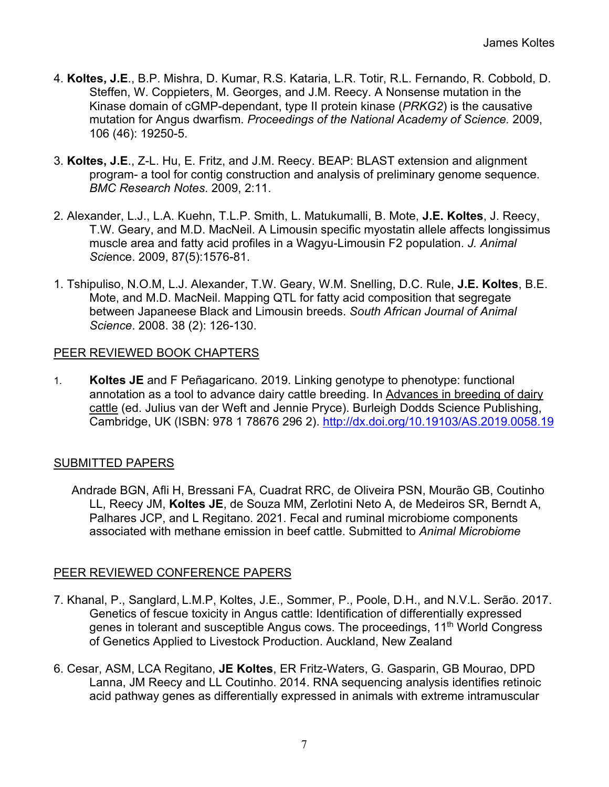- 4. **Koltes, J.E**., B.P. Mishra, D. Kumar, R.S. Kataria, L.R. Totir, R.L. Fernando, R. Cobbold, D. Steffen, W. Coppieters, M. Georges, and J.M. Reecy. A Nonsense mutation in the Kinase domain of cGMP-dependant, type II protein kinase (*PRKG2*) is the causative mutation for Angus dwarfism. *Proceedings of the National Academy of Science.* 2009, 106 (46): 19250-5.
- 3. **Koltes, J.E**., Z-L. Hu, E. Fritz, and J.M. Reecy. BEAP: BLAST extension and alignment program- a tool for contig construction and analysis of preliminary genome sequence. *BMC Research Notes*. 2009, 2:11.
- 2. Alexander, L.J., L.A. Kuehn, T.L.P. Smith, L. Matukumalli, B. Mote, **J.E. Koltes**, J. Reecy, T.W. Geary, and M.D. MacNeil. A Limousin specific myostatin allele affects longissimus muscle area and fatty acid profiles in a Wagyu-Limousin F2 population. *J. Animal Sci*ence. 2009, 87(5):1576-81.
- 1. Tshipuliso, N.O.M, L.J. Alexander, T.W. Geary, W.M. Snelling, D.C. Rule, **J.E. Koltes**, B.E. Mote, and M.D. MacNeil. Mapping QTL for fatty acid composition that segregate between Japaneese Black and Limousin breeds. *South African Journal of Animal Science*. 2008. 38 (2): 126-130.

#### PEER REVIEWED BOOK CHAPTERS

1. **Koltes JE** and F Peñagaricano*.* 2019. Linking genotype to phenotype: functional annotation as a tool to advance dairy cattle breeding. In Advances in breeding of dairy cattle (ed. Julius van der Weft and Jennie Pryce). Burleigh Dodds Science Publishing, Cambridge, UK (ISBN: 978 1 78676 296 2). http://dx.doi.org/10.19103/AS.2019.0058.19

### SUBMITTED PAPERS

Andrade BGN, Afli H, Bressani FA, Cuadrat RRC, de Oliveira PSN, Mourão GB, Coutinho LL, Reecy JM, **Koltes JE**, de Souza MM, Zerlotini Neto A, de Medeiros SR, Berndt A, Palhares JCP, and L Regitano. 2021. Fecal and ruminal microbiome components associated with methane emission in beef cattle. Submitted to *Animal Microbiome*

### PEER REVIEWED CONFERENCE PAPERS

- 7. Khanal, P., Sanglard, L.M.P, Koltes, J.E., Sommer, P., Poole, D.H., and N.V.L. Serão. 2017. Genetics of fescue toxicity in Angus cattle: Identification of differentially expressed genes in tolerant and susceptible Angus cows. The proceedings, 11<sup>th</sup> World Congress of Genetics Applied to Livestock Production. Auckland, New Zealand
- 6. Cesar, ASM, LCA Regitano, **JE Koltes**, ER Fritz-Waters, G. Gasparin, GB Mourao, DPD Lanna, JM Reecy and LL Coutinho. 2014. RNA sequencing analysis identifies retinoic acid pathway genes as differentially expressed in animals with extreme intramuscular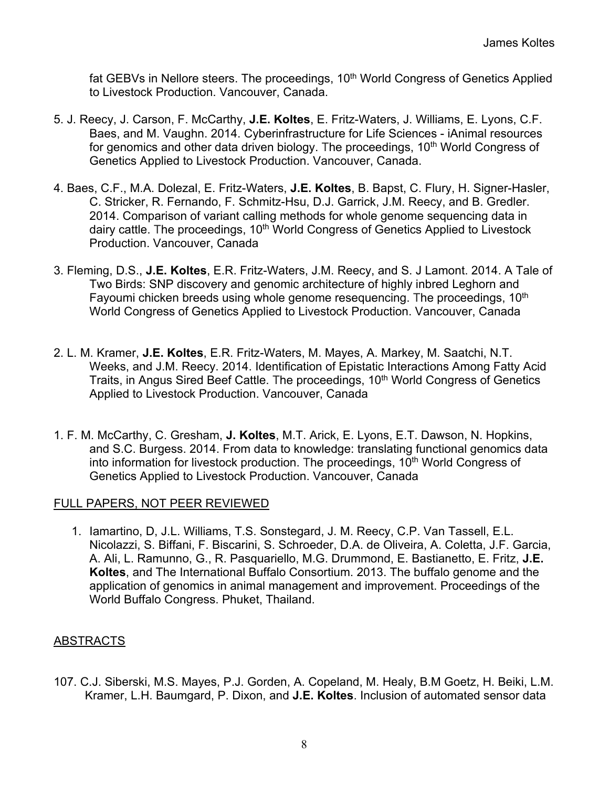fat GEBVs in Nellore steers. The proceedings, 10<sup>th</sup> World Congress of Genetics Applied to Livestock Production. Vancouver, Canada.

- 5. J. Reecy, J. Carson, F. McCarthy, **J.E. Koltes**, E. Fritz-Waters, J. Williams, E. Lyons, C.F. Baes, and M. Vaughn. 2014. Cyberinfrastructure for Life Sciences - iAnimal resources for genomics and other data driven biology. The proceedings, 10<sup>th</sup> World Congress of Genetics Applied to Livestock Production. Vancouver, Canada.
- 4. Baes, C.F., M.A. Dolezal, E. Fritz-Waters, **J.E. Koltes**, B. Bapst, C. Flury, H. Signer-Hasler, C. Stricker, R. Fernando, F. Schmitz-Hsu, D.J. Garrick, J.M. Reecy, and B. Gredler. 2014. Comparison of variant calling methods for whole genome sequencing data in dairy cattle. The proceedings, 10<sup>th</sup> World Congress of Genetics Applied to Livestock Production. Vancouver, Canada
- 3. Fleming, D.S., **J.E. Koltes**, E.R. Fritz-Waters, J.M. Reecy, and S. J Lamont. 2014. A Tale of Two Birds: SNP discovery and genomic architecture of highly inbred Leghorn and Fayoumi chicken breeds using whole genome resequencing. The proceedings, 10<sup>th</sup> World Congress of Genetics Applied to Livestock Production. Vancouver, Canada
- 2. L. M. Kramer, **J.E. Koltes**, E.R. Fritz-Waters, M. Mayes, A. Markey, M. Saatchi, N.T. Weeks, and J.M. Reecy. 2014. Identification of Epistatic Interactions Among Fatty Acid Traits, in Angus Sired Beef Cattle. The proceedings, 10<sup>th</sup> World Congress of Genetics Applied to Livestock Production. Vancouver, Canada
- 1. F. M. McCarthy, C. Gresham, **J. Koltes**, M.T. Arick, E. Lyons, E.T. Dawson, N. Hopkins, and S.C. Burgess. 2014. From data to knowledge: translating functional genomics data into information for livestock production. The proceedings, 10<sup>th</sup> World Congress of Genetics Applied to Livestock Production. Vancouver, Canada

### FULL PAPERS, NOT PEER REVIEWED

1. Iamartino, D, J.L. Williams, T.S. Sonstegard, J. M. Reecy, C.P. Van Tassell, E.L. Nicolazzi, S. Biffani, F. Biscarini, S. Schroeder, D.A. de Oliveira, A. Coletta, J.F. Garcia, A. Ali, L. Ramunno, G., R. Pasquariello, M.G. Drummond, E. Bastianetto, E. Fritz, **J.E. Koltes**, and The International Buffalo Consortium. 2013. The buffalo genome and the application of genomics in animal management and improvement. Proceedings of the World Buffalo Congress. Phuket, Thailand.

### ABSTRACTS

107. C.J. Siberski, M.S. Mayes, P.J. Gorden, A. Copeland, M. Healy, B.M Goetz, H. Beiki, L.M. Kramer, L.H. Baumgard, P. Dixon, and **J.E. Koltes**. Inclusion of automated sensor data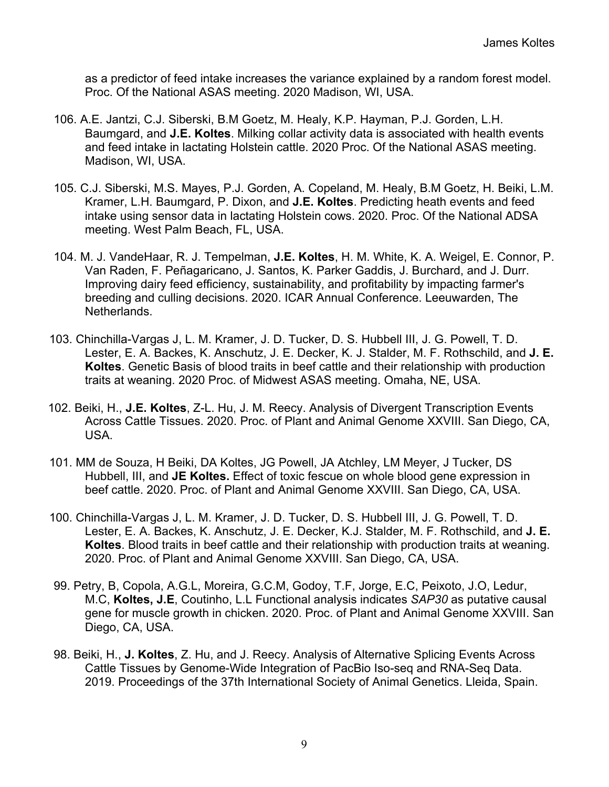as a predictor of feed intake increases the variance explained by a random forest model. Proc. Of the National ASAS meeting. 2020 Madison, WI, USA.

- 106. A.E. Jantzi, C.J. Siberski, B.M Goetz, M. Healy, K.P. Hayman, P.J. Gorden, L.H. Baumgard, and **J.E. Koltes**. Milking collar activity data is associated with health events and feed intake in lactating Holstein cattle. 2020 Proc. Of the National ASAS meeting. Madison, WI, USA.
- 105. C.J. Siberski, M.S. Mayes, P.J. Gorden, A. Copeland, M. Healy, B.M Goetz, H. Beiki, L.M. Kramer, L.H. Baumgard, P. Dixon, and **J.E. Koltes**. Predicting heath events and feed intake using sensor data in lactating Holstein cows. 2020. Proc. Of the National ADSA meeting. West Palm Beach, FL, USA.
- 104. M. J. VandeHaar, R. J. Tempelman, **J.E. Koltes**, H. M. White, K. A. Weigel, E. Connor, P. Van Raden, F. Peñagaricano, J. Santos, K. Parker Gaddis, J. Burchard, and J. Durr. Improving dairy feed efficiency, sustainability, and profitability by impacting farmer's breeding and culling decisions. 2020. ICAR Annual Conference. Leeuwarden, The Netherlands.
- 103. Chinchilla-Vargas J, L. M. Kramer, J. D. Tucker, D. S. Hubbell III, J. G. Powell, T. D. Lester, E. A. Backes, K. Anschutz, J. E. Decker, K. J. Stalder, M. F. Rothschild, and **J. E. Koltes**. Genetic Basis of blood traits in beef cattle and their relationship with production traits at weaning. 2020 Proc. of Midwest ASAS meeting. Omaha, NE, USA.
- 102. Beiki, H., **J.E. Koltes**, Z-L. Hu, J. M. Reecy. Analysis of Divergent Transcription Events Across Cattle Tissues. 2020. Proc. of Plant and Animal Genome XXVIII. San Diego, CA, USA.
- 101. MM de Souza, H Beiki, DA Koltes, JG Powell, JA Atchley, LM Meyer, J Tucker, DS Hubbell, III, and **JE Koltes.** Effect of toxic fescue on whole blood gene expression in beef cattle. 2020. Proc. of Plant and Animal Genome XXVIII. San Diego, CA, USA.
- 100. Chinchilla-Vargas J, L. M. Kramer, J. D. Tucker, D. S. Hubbell III, J. G. Powell, T. D. Lester, E. A. Backes, K. Anschutz, J. E. Decker, K.J. Stalder, M. F. Rothschild, and **J. E. Koltes**. Blood traits in beef cattle and their relationship with production traits at weaning. 2020. Proc. of Plant and Animal Genome XXVIII. San Diego, CA, USA.
- 99. Petry, B, Copola, A.G.L, Moreira, G.C.M, Godoy, T.F, Jorge, E.C, Peixoto, J.O, Ledur, M.C, **Koltes, J.E**, Coutinho, L.L Functional analysis indicates *SAP30* as putative causal gene for muscle growth in chicken. 2020. Proc. of Plant and Animal Genome XXVIII. San Diego, CA, USA.
- 98. Beiki, H., **J. Koltes**, Z. Hu, and J. Reecy. Analysis of Alternative Splicing Events Across Cattle Tissues by Genome-Wide Integration of PacBio Iso-seq and RNA-Seq Data. 2019. Proceedings of the 37th International Society of Animal Genetics. Lleida, Spain.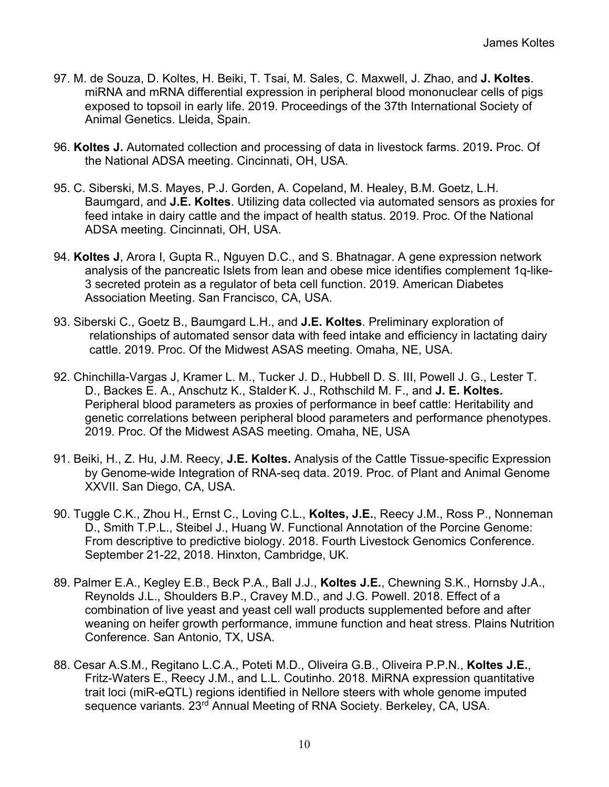- 97. M. de Souza, D. Koltes, H. Beiki, T. Tsai, M. Sales, C. Maxwell, J. Zhao, and **J. Koltes**. miRNA and mRNA differential expression in peripheral blood mononuclear cells of pigs exposed to topsoil in early life. 2019. Proceedings of the 37th International Society of Animal Genetics. Lleida, Spain.
- 96. **Koltes J.** Automated collection and processing of data in livestock farms. 2019**.** Proc. Of the National ADSA meeting. Cincinnati, OH, USA.
- 95. C. Siberski, M.S. Mayes, P.J. Gorden, A. Copeland, M. Healey, B.M. Goetz, L.H. Baumgard, and **J.E. Koltes**. Utilizing data collected via automated sensors as proxies for feed intake in dairy cattle and the impact of health status. 2019. Proc. Of the National ADSA meeting. Cincinnati, OH, USA.
- 94. **Koltes J**, Arora I, Gupta R., Nguyen D.C., and S. Bhatnagar. A gene expression network analysis of the pancreatic Islets from lean and obese mice identifies complement 1q-like-3 secreted protein as a regulator of beta cell function. 2019. American Diabetes Association Meeting. San Francisco, CA, USA.
- 93. Siberski C., Goetz B., Baumgard L.H., and **J.E. Koltes**. Preliminary exploration of relationships of automated sensor data with feed intake and efficiency in lactating dairy cattle. 2019. Proc. Of the Midwest ASAS meeting. Omaha, NE, USA.
- 92. Chinchilla-Vargas J, Kramer L. M., Tucker J. D., Hubbell D. S. III, Powell J. G., Lester T. D., Backes E. A., Anschutz K., Stalder K. J., Rothschild M. F., and **J. E. Koltes.** Peripheral blood parameters as proxies of performance in beef cattle: Heritability and genetic correlations between peripheral blood parameters and performance phenotypes. 2019. Proc. Of the Midwest ASAS meeting. Omaha, NE, USA
- 91. Beiki, H., Z. Hu, J.M. Reecy, **J.E. Koltes.** Analysis of the Cattle Tissue-specific Expression by Genome-wide Integration of RNA-seq data. 2019. Proc. of Plant and Animal Genome XXVII. San Diego, CA, USA.
- 90. Tuggle C.K., Zhou H., Ernst C., Loving C.L., **Koltes, J.E.**, Reecy J.M., Ross P., Nonneman D., Smith T.P.L., Steibel J., Huang W. Functional Annotation of the Porcine Genome: From descriptive to predictive biology. 2018. Fourth Livestock Genomics Conference. September 21-22, 2018. Hinxton, Cambridge, UK.
- 89. Palmer E.A., Kegley E.B., Beck P.A., Ball J.J., **Koltes J.E.**, Chewning S.K., Hornsby J.A., Reynolds J.L., Shoulders B.P., Cravey M.D., and J.G. Powell. 2018. Effect of a combination of live yeast and yeast cell wall products supplemented before and after weaning on heifer growth performance, immune function and heat stress. Plains Nutrition Conference. San Antonio, TX, USA.
- 88. Cesar A.S.M., Regitano L.C.A., Poteti M.D., Oliveira G.B., Oliveira P.P.N., **Koltes J.E.**, Fritz-Waters E., Reecy J.M., and L.L. Coutinho. 2018. MiRNA expression quantitative trait loci (miR-eQTL) regions identified in Nellore steers with whole genome imputed sequence variants. 23<sup>rd</sup> Annual Meeting of RNA Society. Berkeley, CA, USA.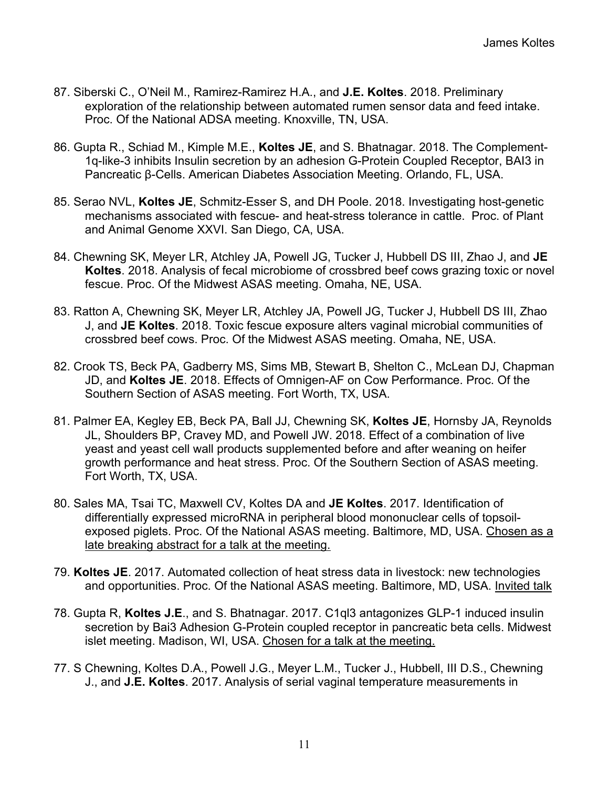- 87. Siberski C., O'Neil M., Ramirez-Ramirez H.A., and **J.E. Koltes**. 2018. Preliminary exploration of the relationship between automated rumen sensor data and feed intake. Proc. Of the National ADSA meeting. Knoxville, TN, USA.
- 86. Gupta R., Schiad M., Kimple M.E., **Koltes JE**, and S. Bhatnagar. 2018. The Complement-1q-like-3 inhibits Insulin secretion by an adhesion G-Protein Coupled Receptor, BAI3 in Pancreatic β-Cells. American Diabetes Association Meeting. Orlando, FL, USA.
- 85. Serao NVL, **Koltes JE**, Schmitz-Esser S, and DH Poole. 2018. Investigating host-genetic mechanisms associated with fescue- and heat-stress tolerance in cattle. Proc. of Plant and Animal Genome XXVI. San Diego, CA, USA.
- 84. Chewning SK, Meyer LR, Atchley JA, Powell JG, Tucker J, Hubbell DS III, Zhao J, and **JE Koltes**. 2018. Analysis of fecal microbiome of crossbred beef cows grazing toxic or novel fescue. Proc. Of the Midwest ASAS meeting. Omaha, NE, USA.
- 83. Ratton A, Chewning SK, Meyer LR, Atchley JA, Powell JG, Tucker J, Hubbell DS III, Zhao J, and **JE Koltes**. 2018. Toxic fescue exposure alters vaginal microbial communities of crossbred beef cows. Proc. Of the Midwest ASAS meeting. Omaha, NE, USA.
- 82. Crook TS, Beck PA, Gadberry MS, Sims MB, Stewart B, Shelton C., McLean DJ, Chapman JD, and **Koltes JE**. 2018. Effects of Omnigen-AF on Cow Performance. Proc. Of the Southern Section of ASAS meeting. Fort Worth, TX, USA.
- 81. Palmer EA, Kegley EB, Beck PA, Ball JJ, Chewning SK, **Koltes JE**, Hornsby JA, Reynolds JL, Shoulders BP, Cravey MD, and Powell JW. 2018. Effect of a combination of live yeast and yeast cell wall products supplemented before and after weaning on heifer growth performance and heat stress. Proc. Of the Southern Section of ASAS meeting. Fort Worth, TX, USA.
- 80. Sales MA, Tsai TC, Maxwell CV, Koltes DA and **JE Koltes**. 2017. Identification of differentially expressed microRNA in peripheral blood mononuclear cells of topsoilexposed piglets. Proc. Of the National ASAS meeting. Baltimore, MD, USA. Chosen as a late breaking abstract for a talk at the meeting.
- 79. **Koltes JE**. 2017. Automated collection of heat stress data in livestock: new technologies and opportunities. Proc. Of the National ASAS meeting. Baltimore, MD, USA. Invited talk
- 78. Gupta R, **Koltes J.E**., and S. Bhatnagar. 2017. C1ql3 antagonizes GLP-1 induced insulin secretion by Bai3 Adhesion G-Protein coupled receptor in pancreatic beta cells. Midwest islet meeting. Madison, WI, USA. Chosen for a talk at the meeting.
- 77. S Chewning, Koltes D.A., Powell J.G., Meyer L.M., Tucker J., Hubbell, III D.S., Chewning J., and **J.E. Koltes**. 2017. Analysis of serial vaginal temperature measurements in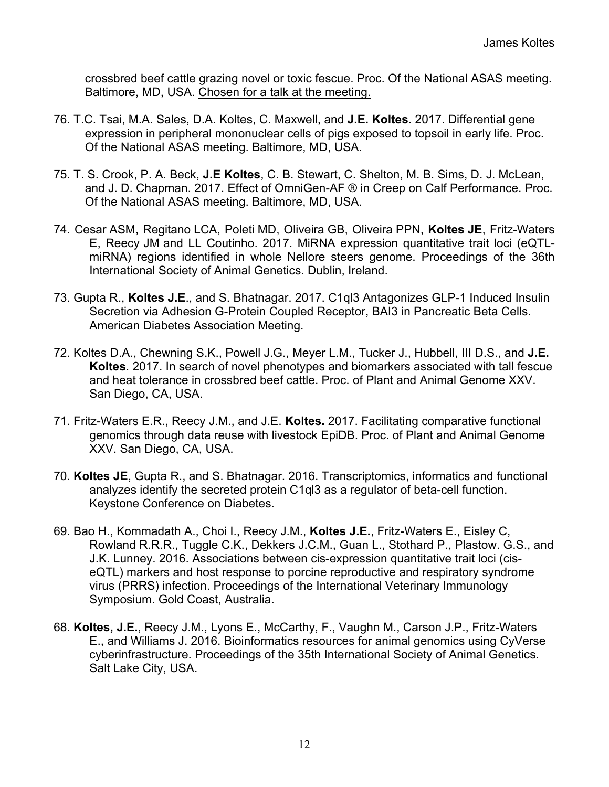crossbred beef cattle grazing novel or toxic fescue. Proc. Of the National ASAS meeting. Baltimore, MD, USA. Chosen for a talk at the meeting.

- 76. T.C. Tsai, M.A. Sales, D.A. Koltes, C. Maxwell, and **J.E. Koltes**. 2017. Differential gene expression in peripheral mononuclear cells of pigs exposed to topsoil in early life. Proc. Of the National ASAS meeting. Baltimore, MD, USA.
- 75. T. S. Crook, P. A. Beck, **J.E Koltes**, C. B. Stewart, C. Shelton, M. B. Sims, D. J. McLean, and J. D. Chapman. 2017. Effect of OmniGen-AF ® in Creep on Calf Performance. Proc. Of the National ASAS meeting. Baltimore, MD, USA.
- 74. Cesar ASM, Regitano LCA, Poleti MD, Oliveira GB, Oliveira PPN, **Koltes JE**, Fritz-Waters E, Reecy JM and LL Coutinho. 2017. MiRNA expression quantitative trait loci (eQTLmiRNA) regions identified in whole Nellore steers genome. Proceedings of the 36th International Society of Animal Genetics. Dublin, Ireland.
- 73. Gupta R., **Koltes J.E**., and S. Bhatnagar. 2017. C1ql3 Antagonizes GLP-1 Induced Insulin Secretion via Adhesion G-Protein Coupled Receptor, BAI3 in Pancreatic Beta Cells. American Diabetes Association Meeting.
- 72. Koltes D.A., Chewning S.K., Powell J.G., Meyer L.M., Tucker J., Hubbell, III D.S., and **J.E. Koltes**. 2017. In search of novel phenotypes and biomarkers associated with tall fescue and heat tolerance in crossbred beef cattle. Proc. of Plant and Animal Genome XXV. San Diego, CA, USA.
- 71. Fritz-Waters E.R., Reecy J.M., and J.E. **Koltes.** 2017. Facilitating comparative functional genomics through data reuse with livestock EpiDB. Proc. of Plant and Animal Genome XXV. San Diego, CA, USA.
- 70. **Koltes JE**, Gupta R., and S. Bhatnagar. 2016. Transcriptomics, informatics and functional analyzes identify the secreted protein C1ql3 as a regulator of beta-cell function. Keystone Conference on Diabetes.
- 69. Bao H., Kommadath A., Choi I., Reecy J.M., **Koltes J.E.**, Fritz-Waters E., Eisley C, Rowland R.R.R., Tuggle C.K., Dekkers J.C.M., Guan L., Stothard P., Plastow. G.S., and J.K. Lunney. 2016. Associations between cis-expression quantitative trait loci (ciseQTL) markers and host response to porcine reproductive and respiratory syndrome virus (PRRS) infection. Proceedings of the International Veterinary Immunology Symposium. Gold Coast, Australia.
- 68. **Koltes, J.E.**, Reecy J.M., Lyons E., McCarthy, F., Vaughn M., Carson J.P., Fritz-Waters E., and Williams J. 2016. Bioinformatics resources for animal genomics using CyVerse cyberinfrastructure. Proceedings of the 35th International Society of Animal Genetics. Salt Lake City, USA.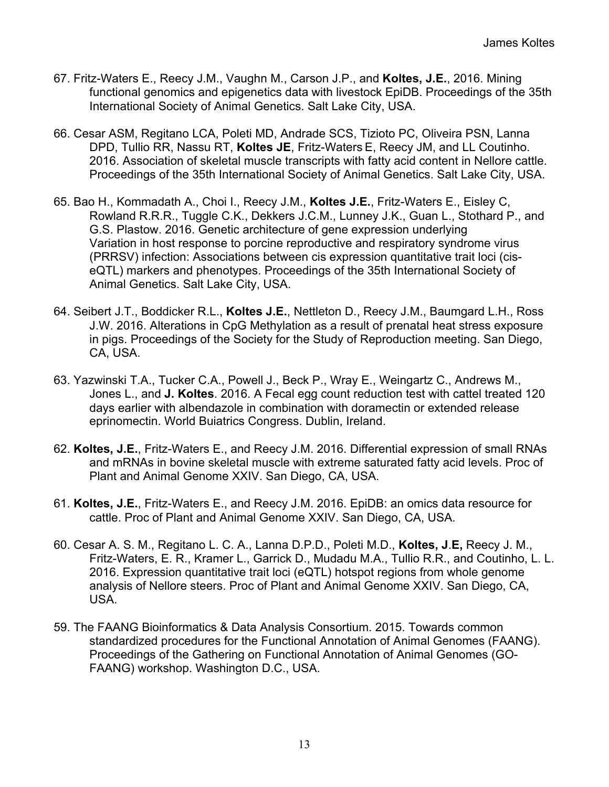- 67. Fritz-Waters E., Reecy J.M., Vaughn M., Carson J.P., and **Koltes, J.E.**, 2016. Mining functional genomics and epigenetics data with livestock EpiDB. Proceedings of the 35th International Society of Animal Genetics. Salt Lake City, USA.
- 66. Cesar ASM, Regitano LCA, Poleti MD, Andrade SCS, Tizioto PC, Oliveira PSN, Lanna DPD, Tullio RR, Nassu RT, **Koltes JE**, Fritz-Waters E, Reecy JM, and LL Coutinho. 2016. Association of skeletal muscle transcripts with fatty acid content in Nellore cattle. Proceedings of the 35th International Society of Animal Genetics. Salt Lake City, USA.
- 65. Bao H., Kommadath A., Choi I., Reecy J.M., **Koltes J.E.**, Fritz-Waters E., Eisley C, Rowland R.R.R., Tuggle C.K., Dekkers J.C.M., Lunney J.K., Guan L., Stothard P., and G.S. Plastow. 2016. Genetic architecture of gene expression underlying Variation in host response to porcine reproductive and respiratory syndrome virus (PRRSV) infection: Associations between cis expression quantitative trait loci (ciseQTL) markers and phenotypes. Proceedings of the 35th International Society of Animal Genetics. Salt Lake City, USA.
- 64. Seibert J.T., Boddicker R.L., **Koltes J.E.**, Nettleton D., Reecy J.M., Baumgard L.H., Ross J.W. 2016. Alterations in CpG Methylation as a result of prenatal heat stress exposure in pigs. Proceedings of the Society for the Study of Reproduction meeting. San Diego, CA, USA.
- 63. Yazwinski T.A., Tucker C.A., Powell J., Beck P., Wray E., Weingartz C., Andrews M., Jones L., and **J. Koltes**. 2016. A Fecal egg count reduction test with cattel treated 120 days earlier with albendazole in combination with doramectin or extended release eprinomectin. World Buiatrics Congress. Dublin, Ireland.
- 62. **Koltes, J.E.**, Fritz-Waters E., and Reecy J.M. 2016. Differential expression of small RNAs and mRNAs in bovine skeletal muscle with extreme saturated fatty acid levels. Proc of Plant and Animal Genome XXIV. San Diego, CA, USA.
- 61. **Koltes, J.E.**, Fritz-Waters E., and Reecy J.M. 2016. EpiDB: an omics data resource for cattle. Proc of Plant and Animal Genome XXIV. San Diego, CA, USA.
- 60. Cesar A. S. M., Regitano L. C. A., Lanna D.P.D., Poleti M.D., **Koltes, J**.**E,** Reecy J. M., Fritz-Waters, E. R., Kramer L., Garrick D., Mudadu M.A., Tullio R.R., and Coutinho, L. L. 2016. Expression quantitative trait loci (eQTL) hotspot regions from whole genome analysis of Nellore steers. Proc of Plant and Animal Genome XXIV. San Diego, CA, USA.
- 59. The FAANG Bioinformatics & Data Analysis Consortium. 2015. Towards common standardized procedures for the Functional Annotation of Animal Genomes (FAANG). Proceedings of the Gathering on Functional Annotation of Animal Genomes (GO-FAANG) workshop. Washington D.C., USA.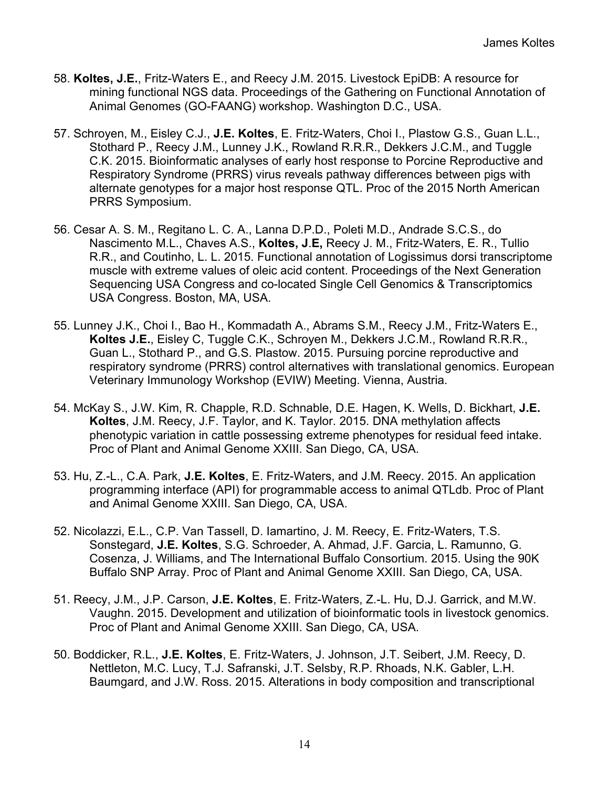- 58. **Koltes, J.E.**, Fritz-Waters E., and Reecy J.M. 2015. Livestock EpiDB: A resource for mining functional NGS data. Proceedings of the Gathering on Functional Annotation of Animal Genomes (GO-FAANG) workshop. Washington D.C., USA.
- 57. Schroyen, M., Eisley C.J., **J.E. Koltes**, E. Fritz-Waters, Choi I., Plastow G.S., Guan L.L., Stothard P., Reecy J.M., Lunney J.K., Rowland R.R.R., Dekkers J.C.M., and Tuggle C.K. 2015. Bioinformatic analyses of early host response to Porcine Reproductive and Respiratory Syndrome (PRRS) virus reveals pathway differences between pigs with alternate genotypes for a major host response QTL. Proc of the 2015 North American PRRS Symposium.
- 56. Cesar A. S. M., Regitano L. C. A., Lanna D.P.D., Poleti M.D., Andrade S.C.S., do Nascimento M.L., Chaves A.S., **Koltes, J**.**E,** Reecy J. M., Fritz-Waters, E. R., Tullio R.R., and Coutinho, L. L. 2015. Functional annotation of Logissimus dorsi transcriptome muscle with extreme values of oleic acid content. Proceedings of the Next Generation Sequencing USA Congress and co-located Single Cell Genomics & Transcriptomics USA Congress. Boston, MA, USA.
- 55. Lunney J.K., Choi I., Bao H., Kommadath A., Abrams S.M., Reecy J.M., Fritz-Waters E., **Koltes J.E.**, Eisley C, Tuggle C.K., Schroyen M., Dekkers J.C.M., Rowland R.R.R., Guan L., Stothard P., and G.S. Plastow. 2015. Pursuing porcine reproductive and respiratory syndrome (PRRS) control alternatives with translational genomics. European Veterinary Immunology Workshop (EVIW) Meeting. Vienna, Austria.
- 54. McKay S., J.W. Kim, R. Chapple, R.D. Schnable, D.E. Hagen, K. Wells, D. Bickhart, **J.E. Koltes**, J.M. Reecy, J.F. Taylor, and K. Taylor. 2015. DNA methylation affects phenotypic variation in cattle possessing extreme phenotypes for residual feed intake. Proc of Plant and Animal Genome XXIII. San Diego, CA, USA.
- 53. Hu, Z.-L., C.A. Park, **J.E. Koltes**, E. Fritz-Waters, and J.M. Reecy. 2015. An application programming interface (API) for programmable access to animal QTLdb. Proc of Plant and Animal Genome XXIII. San Diego, CA, USA.
- 52. Nicolazzi, E.L., C.P. Van Tassell, D. Iamartino, J. M. Reecy, E. Fritz-Waters, T.S. Sonstegard, **J.E. Koltes**, S.G. Schroeder, A. Ahmad, J.F. Garcia, L. Ramunno, G. Cosenza, J. Williams, and The International Buffalo Consortium. 2015. Using the 90K Buffalo SNP Array. Proc of Plant and Animal Genome XXIII. San Diego, CA, USA.
- 51. Reecy, J.M., J.P. Carson, **J.E. Koltes**, E. Fritz-Waters, Z.-L. Hu, D.J. Garrick, and M.W. Vaughn. 2015. Development and utilization of bioinformatic tools in livestock genomics. Proc of Plant and Animal Genome XXIII. San Diego, CA, USA.
- 50. Boddicker, R.L., **J.E. Koltes**, E. Fritz-Waters, J. Johnson, J.T. Seibert, J.M. Reecy, D. Nettleton, M.C. Lucy, T.J. Safranski, J.T. Selsby, R.P. Rhoads, N.K. Gabler, L.H. Baumgard, and J.W. Ross. 2015. Alterations in body composition and transcriptional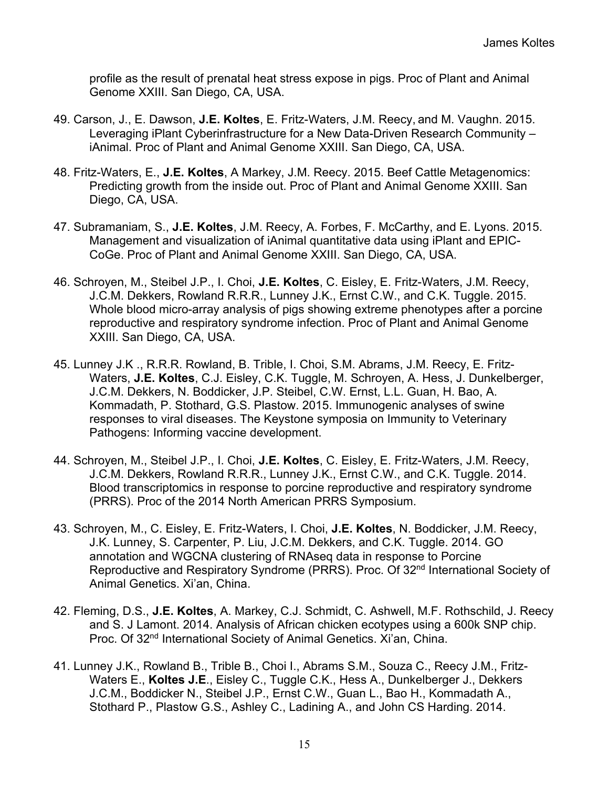profile as the result of prenatal heat stress expose in pigs. Proc of Plant and Animal Genome XXIII. San Diego, CA, USA.

- 49. Carson, J., E. Dawson, **J.E. Koltes**, E. Fritz-Waters, J.M. Reecy, and M. Vaughn. 2015. Leveraging iPlant Cyberinfrastructure for a New Data-Driven Research Community – iAnimal. Proc of Plant and Animal Genome XXIII. San Diego, CA, USA.
- 48. Fritz-Waters, E., **J.E. Koltes**, A Markey, J.M. Reecy. 2015. Beef Cattle Metagenomics: Predicting growth from the inside out. Proc of Plant and Animal Genome XXIII. San Diego, CA, USA.
- 47. Subramaniam, S., **J.E. Koltes**, J.M. Reecy, A. Forbes, F. McCarthy, and E. Lyons. 2015. Management and visualization of iAnimal quantitative data using iPlant and EPIC-CoGe. Proc of Plant and Animal Genome XXIII. San Diego, CA, USA.
- 46. Schroyen, M., Steibel J.P., I. Choi, **J.E. Koltes**, C. Eisley, E. Fritz-Waters, J.M. Reecy, J.C.M. Dekkers, Rowland R.R.R., Lunney J.K., Ernst C.W., and C.K. Tuggle. 2015. Whole blood micro-array analysis of pigs showing extreme phenotypes after a porcine reproductive and respiratory syndrome infection. Proc of Plant and Animal Genome XXIII. San Diego, CA, USA.
- 45. Lunney J.K ., R.R.R. Rowland, B. Trible, I. Choi, S.M. Abrams, J.M. Reecy, E. Fritz-Waters, **J.E. Koltes**, C.J. Eisley, C.K. Tuggle, M. Schroyen, A. Hess, J. Dunkelberger, J.C.M. Dekkers, N. Boddicker, J.P. Steibel, C.W. Ernst, L.L. Guan, H. Bao, A. Kommadath, P. Stothard, G.S. Plastow. 2015. Immunogenic analyses of swine responses to viral diseases. The Keystone symposia on Immunity to Veterinary Pathogens: Informing vaccine development.
- 44. Schroyen, M., Steibel J.P., I. Choi, **J.E. Koltes**, C. Eisley, E. Fritz-Waters, J.M. Reecy, J.C.M. Dekkers, Rowland R.R.R., Lunney J.K., Ernst C.W., and C.K. Tuggle. 2014. Blood transcriptomics in response to porcine reproductive and respiratory syndrome (PRRS). Proc of the 2014 North American PRRS Symposium.
- 43. Schroyen, M., C. Eisley, E. Fritz-Waters, I. Choi, **J.E. Koltes**, N. Boddicker, J.M. Reecy, J.K. Lunney, S. Carpenter, P. Liu, J.C.M. Dekkers, and C.K. Tuggle. 2014. GO annotation and WGCNA clustering of RNAseq data in response to Porcine Reproductive and Respiratory Syndrome (PRRS). Proc. Of 32<sup>nd</sup> International Society of Animal Genetics. Xi'an, China.
- 42. Fleming, D.S., **J.E. Koltes**, A. Markey, C.J. Schmidt, C. Ashwell, M.F. Rothschild, J. Reecy and S. J Lamont. 2014. Analysis of African chicken ecotypes using a 600k SNP chip. Proc. Of 32<sup>nd</sup> International Society of Animal Genetics. Xi'an, China.
- 41. Lunney J.K., Rowland B., Trible B., Choi I., Abrams S.M., Souza C., Reecy J.M., Fritz-Waters E., **Koltes J.E**., Eisley C., Tuggle C.K., Hess A., Dunkelberger J., Dekkers J.C.M., Boddicker N., Steibel J.P., Ernst C.W., Guan L., Bao H., Kommadath A., Stothard P., Plastow G.S., Ashley C., Ladining A., and John CS Harding. 2014.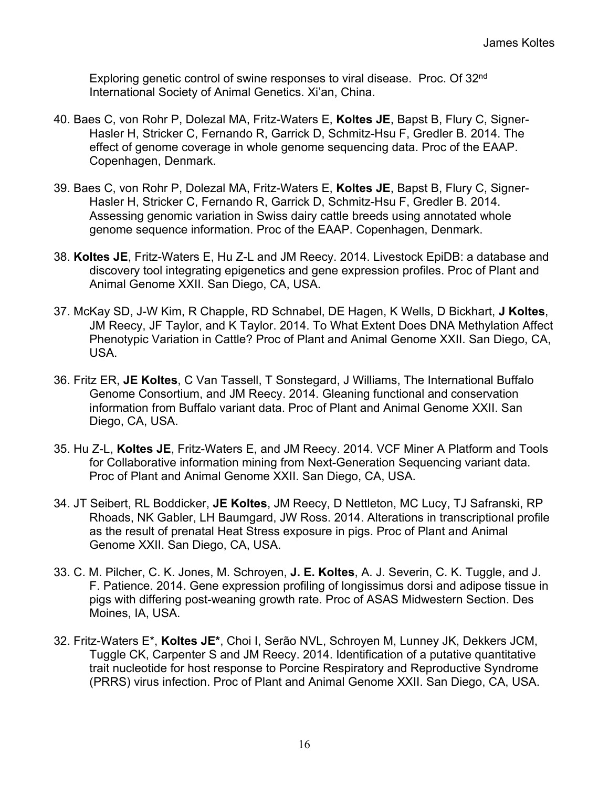Exploring genetic control of swine responses to viral disease. Proc. Of 32<sup>nd</sup> International Society of Animal Genetics. Xi'an, China.

- 40. Baes C, von Rohr P, Dolezal MA, Fritz-Waters E, **Koltes JE**, Bapst B, Flury C, Signer-Hasler H, Stricker C, Fernando R, Garrick D, Schmitz-Hsu F, Gredler B. 2014. The effect of genome coverage in whole genome sequencing data. Proc of the EAAP. Copenhagen, Denmark.
- 39. Baes C, von Rohr P, Dolezal MA, Fritz-Waters E, **Koltes JE**, Bapst B, Flury C, Signer-Hasler H, Stricker C, Fernando R, Garrick D, Schmitz-Hsu F, Gredler B. 2014. Assessing genomic variation in Swiss dairy cattle breeds using annotated whole genome sequence information. Proc of the EAAP. Copenhagen, Denmark.
- 38. **Koltes JE**, Fritz-Waters E, Hu Z-L and JM Reecy. 2014. Livestock EpiDB: a database and discovery tool integrating epigenetics and gene expression profiles. Proc of Plant and Animal Genome XXII. San Diego, CA, USA.
- 37. McKay SD, J-W Kim, R Chapple, RD Schnabel, DE Hagen, K Wells, D Bickhart, **J Koltes**, JM Reecy, JF Taylor, and K Taylor. 2014. To What Extent Does DNA Methylation Affect Phenotypic Variation in Cattle? Proc of Plant and Animal Genome XXII. San Diego, CA, USA.
- 36. Fritz ER, **JE Koltes**, C Van Tassell, T Sonstegard, J Williams, The International Buffalo Genome Consortium, and JM Reecy. 2014. Gleaning functional and conservation information from Buffalo variant data. Proc of Plant and Animal Genome XXII. San Diego, CA, USA.
- 35. Hu Z-L, **Koltes JE**, Fritz-Waters E, and JM Reecy. 2014. VCF Miner A Platform and Tools for Collaborative information mining from Next-Generation Sequencing variant data. Proc of Plant and Animal Genome XXII. San Diego, CA, USA.
- 34. JT Seibert, RL Boddicker, **JE Koltes**, JM Reecy, D Nettleton, MC Lucy, TJ Safranski, RP Rhoads, NK Gabler, LH Baumgard, JW Ross. 2014. Alterations in transcriptional profile as the result of prenatal Heat Stress exposure in pigs. Proc of Plant and Animal Genome XXII. San Diego, CA, USA.
- 33. C. M. Pilcher, C. K. Jones, M. Schroyen, **J. E. Koltes**, A. J. Severin, C. K. Tuggle, and J. F. Patience. 2014. Gene expression profiling of longissimus dorsi and adipose tissue in pigs with differing post-weaning growth rate. Proc of ASAS Midwestern Section. Des Moines, IA, USA.
- 32. Fritz-Waters E\*, **Koltes JE\***, Choi I, Serão NVL, Schroyen M, Lunney JK, Dekkers JCM, Tuggle CK, Carpenter S and JM Reecy. 2014. Identification of a putative quantitative trait nucleotide for host response to Porcine Respiratory and Reproductive Syndrome (PRRS) virus infection. Proc of Plant and Animal Genome XXII. San Diego, CA, USA.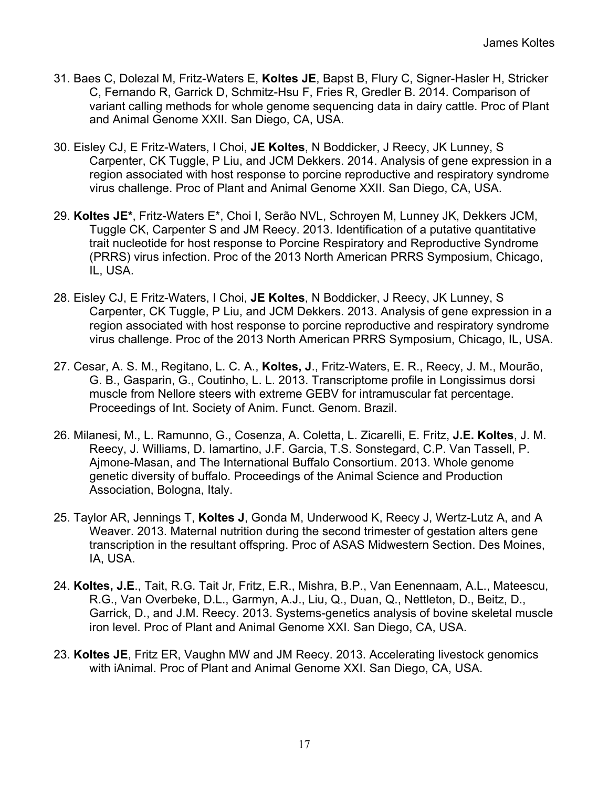- 31. Baes C, Dolezal M, Fritz-Waters E, **Koltes JE**, Bapst B, Flury C, Signer-Hasler H, Stricker C, Fernando R, Garrick D, Schmitz-Hsu F, Fries R, Gredler B. 2014. Comparison of variant calling methods for whole genome sequencing data in dairy cattle. Proc of Plant and Animal Genome XXII. San Diego, CA, USA.
- 30. Eisley CJ, E Fritz-Waters, I Choi, **JE Koltes**, N Boddicker, J Reecy, JK Lunney, S Carpenter, CK Tuggle, P Liu, and JCM Dekkers. 2014. Analysis of gene expression in a region associated with host response to porcine reproductive and respiratory syndrome virus challenge. Proc of Plant and Animal Genome XXII. San Diego, CA, USA.
- 29. **Koltes JE\***, Fritz-Waters E\*, Choi I, Serão NVL, Schroyen M, Lunney JK, Dekkers JCM, Tuggle CK, Carpenter S and JM Reecy. 2013. Identification of a putative quantitative trait nucleotide for host response to Porcine Respiratory and Reproductive Syndrome (PRRS) virus infection. Proc of the 2013 North American PRRS Symposium, Chicago, IL, USA.
- 28. Eisley CJ, E Fritz-Waters, I Choi, **JE Koltes**, N Boddicker, J Reecy, JK Lunney, S Carpenter, CK Tuggle, P Liu, and JCM Dekkers. 2013. Analysis of gene expression in a region associated with host response to porcine reproductive and respiratory syndrome virus challenge. Proc of the 2013 North American PRRS Symposium, Chicago, IL, USA.
- 27. Cesar, A. S. M., Regitano, L. C. A., **Koltes, J**., Fritz-Waters, E. R., Reecy, J. M., Mourão, G. B., Gasparin, G., Coutinho, L. L. 2013. Transcriptome profile in Longissimus dorsi muscle from Nellore steers with extreme GEBV for intramuscular fat percentage. Proceedings of Int. Society of Anim. Funct. Genom. Brazil.
- 26. Milanesi, M., L. Ramunno, G., Cosenza, A. Coletta, L. Zicarelli, E. Fritz, **J.E. Koltes**, J. M. Reecy, J. Williams, D. Iamartino, J.F. Garcia, T.S. Sonstegard, C.P. Van Tassell, P. Ajmone-Masan, and The International Buffalo Consortium. 2013. Whole genome genetic diversity of buffalo. Proceedings of the Animal Science and Production Association, Bologna, Italy.
- 25. Taylor AR, Jennings T, **Koltes J**, Gonda M, Underwood K, Reecy J, Wertz-Lutz A, and A Weaver. 2013. Maternal nutrition during the second trimester of gestation alters gene transcription in the resultant offspring. Proc of ASAS Midwestern Section. Des Moines, IA, USA.
- 24. **Koltes, J.E**., Tait, R.G. Tait Jr, Fritz, E.R., Mishra, B.P., Van Eenennaam, A.L., Mateescu, R.G., Van Overbeke, D.L., Garmyn, A.J., Liu, Q., Duan, Q., Nettleton, D., Beitz, D., Garrick, D., and J.M. Reecy. 2013. Systems-genetics analysis of bovine skeletal muscle iron level. Proc of Plant and Animal Genome XXI. San Diego, CA, USA.
- 23. **Koltes JE**, Fritz ER, Vaughn MW and JM Reecy. 2013. Accelerating livestock genomics with iAnimal. Proc of Plant and Animal Genome XXI. San Diego, CA, USA.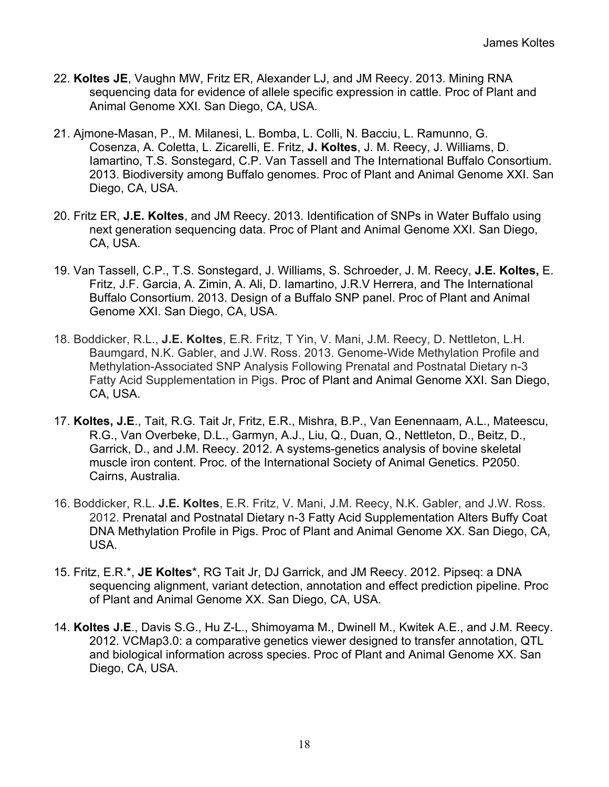- 22. **Koltes JE**, Vaughn MW, Fritz ER, Alexander LJ, and JM Reecy. 2013. Mining RNA sequencing data for evidence of allele specific expression in cattle. Proc of Plant and Animal Genome XXI. San Diego, CA, USA.
- 21. Ajmone-Masan, P., M. Milanesi, L. Bomba, L. Colli, N. Bacciu, L. Ramunno, G. Cosenza, A. Coletta, L. Zicarelli, E. Fritz, **J. Koltes**, J. M. Reecy, J. Williams, D. Iamartino, T.S. Sonstegard, C.P. Van Tassell and The International Buffalo Consortium. 2013. Biodiversity among Buffalo genomes. Proc of Plant and Animal Genome XXI. San Diego, CA, USA.
- 20. Fritz ER, **J.E. Koltes**, and JM Reecy. 2013. Identification of SNPs in Water Buffalo using next generation sequencing data. Proc of Plant and Animal Genome XXI. San Diego, CA, USA.
- 19. Van Tassell, C.P., T.S. Sonstegard, J. Williams, S. Schroeder, J. M. Reecy, **J.E. Koltes,** E. Fritz, J.F. Garcia, A. Zimin, A. Ali, D. Iamartino, J.R.V Herrera, and The International Buffalo Consortium. 2013. Design of a Buffalo SNP panel. Proc of Plant and Animal Genome XXI. San Diego, CA, USA.
- 18. Boddicker, R.L., **J.E. Koltes**, E.R. Fritz, T Yin, V. Mani, J.M. Reecy, D. Nettleton, L.H. Baumgard, N.K. Gabler, and J.W. Ross. 2013. Genome-Wide Methylation Profile and Methylation-Associated SNP Analysis Following Prenatal and Postnatal Dietary n-3 Fatty Acid Supplementation in Pigs. Proc of Plant and Animal Genome XXI. San Diego, CA, USA.
- 17. **Koltes, J.E**., Tait, R.G. Tait Jr, Fritz, E.R., Mishra, B.P., Van Eenennaam, A.L., Mateescu, R.G., Van Overbeke, D.L., Garmyn, A.J., Liu, Q., Duan, Q., Nettleton, D., Beitz, D., Garrick, D., and J.M. Reecy. 2012. A systems-genetics analysis of bovine skeletal muscle iron content. Proc. of the International Society of Animal Genetics. P2050. Cairns, Australia.
- 16. Boddicker, R.L. **J.E. Koltes**, E.R. Fritz, V. Mani, J.M. Reecy, N.K. Gabler, and J.W. Ross. 2012. Prenatal and Postnatal Dietary n-3 Fatty Acid Supplementation Alters Buffy Coat DNA Methylation Profile in Pigs. Proc of Plant and Animal Genome XX. San Diego, CA, USA.
- 15. Fritz, E.R.\*, **JE Koltes**\*, RG Tait Jr, DJ Garrick, and JM Reecy. 2012. Pipseq: a DNA sequencing alignment, variant detection, annotation and effect prediction pipeline. Proc of Plant and Animal Genome XX. San Diego, CA, USA.
- 14. **Koltes J.E**., Davis S.G., Hu Z-L., Shimoyama M., Dwinell M., Kwitek A.E., and J.M. Reecy. 2012. VCMap3.0: a comparative genetics viewer designed to transfer annotation, QTL and biological information across species. Proc of Plant and Animal Genome XX. San Diego, CA, USA.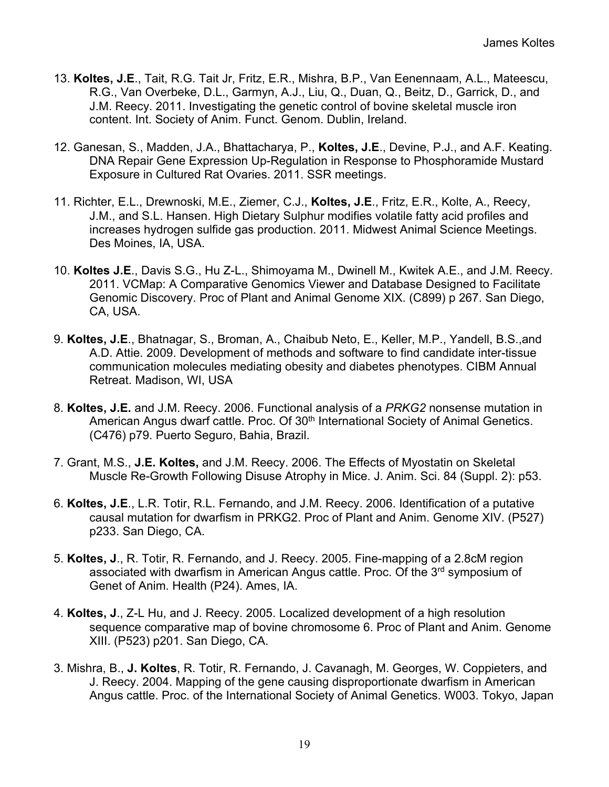- 13. **Koltes, J.E**., Tait, R.G. Tait Jr, Fritz, E.R., Mishra, B.P., Van Eenennaam, A.L., Mateescu, R.G., Van Overbeke, D.L., Garmyn, A.J., Liu, Q., Duan, Q., Beitz, D., Garrick, D., and J.M. Reecy. 2011. Investigating the genetic control of bovine skeletal muscle iron content. Int. Society of Anim. Funct. Genom. Dublin, Ireland.
- 12. Ganesan, S., Madden, J.A., Bhattacharya, P., **Koltes, J.E**., Devine, P.J., and A.F. Keating. DNA Repair Gene Expression Up-Regulation in Response to Phosphoramide Mustard Exposure in Cultured Rat Ovaries. 2011. SSR meetings.
- 11. Richter, E.L., Drewnoski, M.E., Ziemer, C.J., **Koltes, J.E**., Fritz, E.R., Kolte, A., Reecy, J.M., and S.L. Hansen. High Dietary Sulphur modifies volatile fatty acid profiles and increases hydrogen sulfide gas production. 2011. Midwest Animal Science Meetings. Des Moines, IA, USA.
- 10. **Koltes J.E**., Davis S.G., Hu Z-L., Shimoyama M., Dwinell M., Kwitek A.E., and J.M. Reecy. 2011. VCMap: A Comparative Genomics Viewer and Database Designed to Facilitate Genomic Discovery. Proc of Plant and Animal Genome XIX. (C899) p 267. San Diego, CA, USA.
- 9. **Koltes, J.E**., Bhatnagar, S., Broman, A., Chaibub Neto, E., Keller, M.P., Yandell, B.S.,and A.D. Attie. 2009. Development of methods and software to find candidate inter-tissue communication molecules mediating obesity and diabetes phenotypes. CIBM Annual Retreat. Madison, WI, USA
- 8. **Koltes, J.E.** and J.M. Reecy. 2006. Functional analysis of a *PRKG2* nonsense mutation in American Angus dwarf cattle. Proc. Of 30<sup>th</sup> International Society of Animal Genetics. (C476) p79. Puerto Seguro, Bahia, Brazil.
- 7. Grant, M.S., **J.E. Koltes,** and J.M. Reecy. 2006. The Effects of Myostatin on Skeletal Muscle Re-Growth Following Disuse Atrophy in Mice. J. Anim. Sci. 84 (Suppl. 2): p53.
- 6. **Koltes, J.E**., L.R. Totir, R.L. Fernando, and J.M. Reecy. 2006. Identification of a putative causal mutation for dwarfism in PRKG2. Proc of Plant and Anim. Genome XIV. (P527) p233. San Diego, CA.
- 5. **Koltes, J**., R. Totir, R. Fernando, and J. Reecy. 2005. Fine-mapping of a 2.8cM region associated with dwarfism in American Angus cattle. Proc. Of the 3<sup>rd</sup> symposium of Genet of Anim. Health (P24). Ames, IA.
- 4. **Koltes, J**., Z-L Hu, and J. Reecy. 2005. Localized development of a high resolution sequence comparative map of bovine chromosome 6. Proc of Plant and Anim. Genome XIII. (P523) p201. San Diego, CA.
- 3. Mishra, B., **J. Koltes**, R. Totir, R. Fernando, J. Cavanagh, M. Georges, W. Coppieters, and J. Reecy. 2004. Mapping of the gene causing disproportionate dwarfism in American Angus cattle. Proc. of the International Society of Animal Genetics. W003. Tokyo, Japan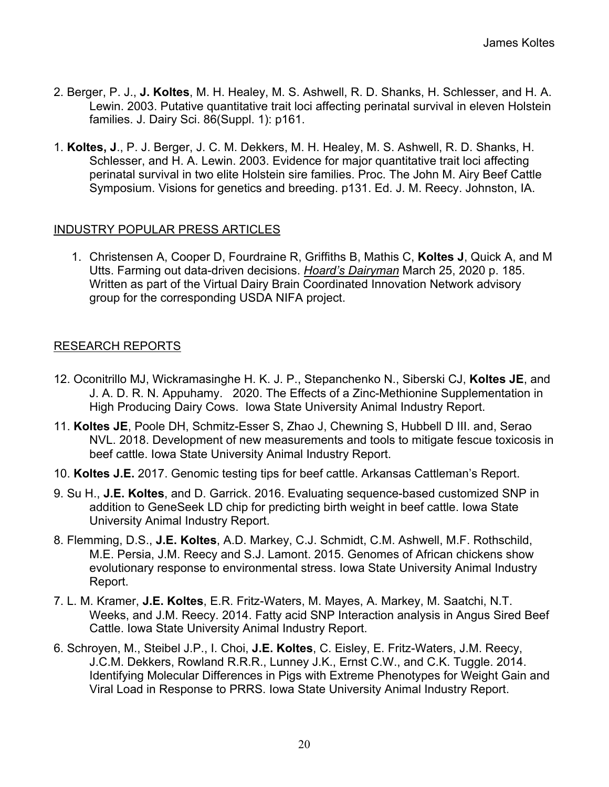- 2. Berger, P. J., **J. Koltes**, M. H. Healey, M. S. Ashwell, R. D. Shanks, H. Schlesser, and H. A. Lewin. 2003. Putative quantitative trait loci affecting perinatal survival in eleven Holstein families. J. Dairy Sci. 86(Suppl. 1): p161.
- 1. **Koltes, J**., P. J. Berger, J. C. M. Dekkers, M. H. Healey, M. S. Ashwell, R. D. Shanks, H. Schlesser, and H. A. Lewin. 2003. Evidence for major quantitative trait loci affecting perinatal survival in two elite Holstein sire families. Proc. The John M. Airy Beef Cattle Symposium. Visions for genetics and breeding. p131. Ed. J. M. Reecy. Johnston, IA.

#### INDUSTRY POPULAR PRESS ARTICLES

1. Christensen A, Cooper D, Fourdraine R, Griffiths B, Mathis C, **Koltes J**, Quick A, and M Utts. Farming out data-driven decisions. *Hoard's Dairyman* March 25, 2020 p. 185. Written as part of the Virtual Dairy Brain Coordinated Innovation Network advisory group for the corresponding USDA NIFA project.

#### RESEARCH REPORTS

- 12. Oconitrillo MJ, Wickramasinghe H. K. J. P., Stepanchenko N., Siberski CJ, **Koltes JE**, and J. A. D. R. N. Appuhamy. 2020. The Effects of a Zinc-Methionine Supplementation in High Producing Dairy Cows. Iowa State University Animal Industry Report.
- 11. **Koltes JE**, Poole DH, Schmitz-Esser S, Zhao J, Chewning S, Hubbell D III. and, Serao NVL. 2018. Development of new measurements and tools to mitigate fescue toxicosis in beef cattle. Iowa State University Animal Industry Report.
- 10. **Koltes J.E.** 2017. Genomic testing tips for beef cattle. Arkansas Cattleman's Report.
- 9. Su H., **J.E. Koltes**, and D. Garrick. 2016. Evaluating sequence-based customized SNP in addition to GeneSeek LD chip for predicting birth weight in beef cattle. Iowa State University Animal Industry Report.
- 8. Flemming, D.S., **J.E. Koltes**, A.D. Markey, C.J. Schmidt, C.M. Ashwell, M.F. Rothschild, M.E. Persia, J.M. Reecy and S.J. Lamont. 2015. Genomes of African chickens show evolutionary response to environmental stress. Iowa State University Animal Industry Report.
- 7. L. M. Kramer, **J.E. Koltes**, E.R. Fritz-Waters, M. Mayes, A. Markey, M. Saatchi, N.T. Weeks, and J.M. Reecy. 2014. Fatty acid SNP Interaction analysis in Angus Sired Beef Cattle. Iowa State University Animal Industry Report.
- 6. Schroyen, M., Steibel J.P., I. Choi, **J.E. Koltes**, C. Eisley, E. Fritz-Waters, J.M. Reecy, J.C.M. Dekkers, Rowland R.R.R., Lunney J.K., Ernst C.W., and C.K. Tuggle. 2014. Identifying Molecular Differences in Pigs with Extreme Phenotypes for Weight Gain and Viral Load in Response to PRRS. Iowa State University Animal Industry Report.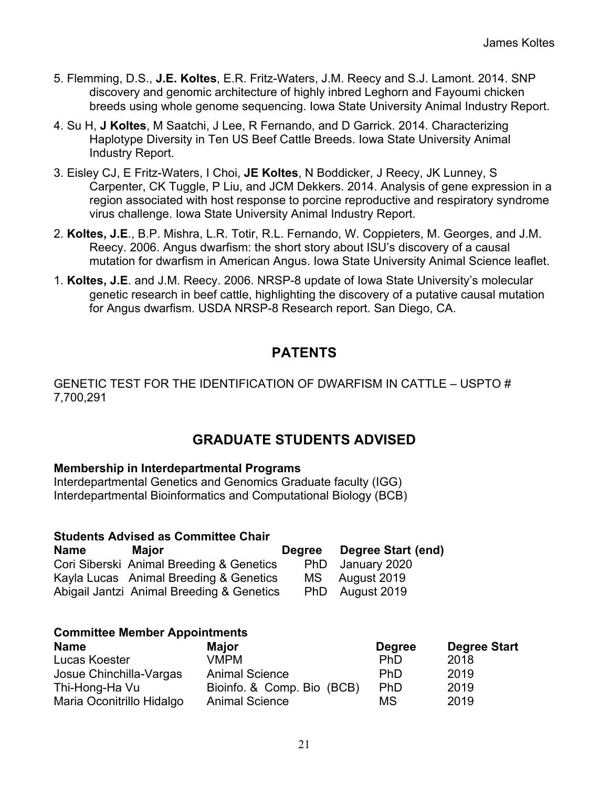- 5. Flemming, D.S., **J.E. Koltes**, E.R. Fritz-Waters, J.M. Reecy and S.J. Lamont. 2014. SNP discovery and genomic architecture of highly inbred Leghorn and Fayoumi chicken breeds using whole genome sequencing. Iowa State University Animal Industry Report.
- 4. Su H, **J Koltes**, M Saatchi, J Lee, R Fernando, and D Garrick. 2014. Characterizing Haplotype Diversity in Ten US Beef Cattle Breeds. Iowa State University Animal Industry Report.
- 3. Eisley CJ, E Fritz-Waters, I Choi, **JE Koltes**, N Boddicker, J Reecy, JK Lunney, S Carpenter, CK Tuggle, P Liu, and JCM Dekkers. 2014. Analysis of gene expression in a region associated with host response to porcine reproductive and respiratory syndrome virus challenge. Iowa State University Animal Industry Report.
- 2. **Koltes, J.E**., B.P. Mishra, L.R. Totir, R.L. Fernando, W. Coppieters, M. Georges, and J.M. Reecy. 2006. Angus dwarfism: the short story about ISU's discovery of a causal mutation for dwarfism in American Angus. Iowa State University Animal Science leaflet.
- 1. **Koltes, J.E**. and J.M. Reecy. 2006. NRSP-8 update of Iowa State University's molecular genetic research in beef cattle, highlighting the discovery of a putative causal mutation for Angus dwarfism. USDA NRSP-8 Research report. San Diego, CA.

# **PATENTS**

GENETIC TEST FOR THE IDENTIFICATION OF DWARFISM IN CATTLE – USPTO # 7,700,291

# **GRADUATE STUDENTS ADVISED**

### **Membership in Interdepartmental Programs**

Interdepartmental Genetics and Genomics Graduate faculty (IGG) Interdepartmental Bioinformatics and Computational Biology (BCB)

| <b>Students Advised as Committee Chair</b> |                                           |  |                           |  |  |
|--------------------------------------------|-------------------------------------------|--|---------------------------|--|--|
| <b>Name</b>                                | Major                                     |  | Degree Degree Start (end) |  |  |
|                                            | Cori Siberski Animal Breeding & Genetics  |  | PhD January 2020          |  |  |
|                                            | Kayla Lucas Animal Breeding & Genetics    |  | MS August 2019            |  |  |
|                                            | Abigail Jantzi Animal Breeding & Genetics |  | PhD August 2019           |  |  |

#### **Committee Member Appointments**

| <b>Name</b>               | <b>Major</b>               | <b>Degree</b> | <b>Degree Start</b> |
|---------------------------|----------------------------|---------------|---------------------|
| Lucas Koester             | VMPM                       | <b>PhD</b>    | 2018                |
| Josue Chinchilla-Vargas   | <b>Animal Science</b>      | PhD.          | 2019                |
| Thi-Hong-Ha Vu            | Bioinfo. & Comp. Bio (BCB) | PhD           | 2019                |
| Maria Oconitrillo Hidalgo | <b>Animal Science</b>      | МS            | 2019                |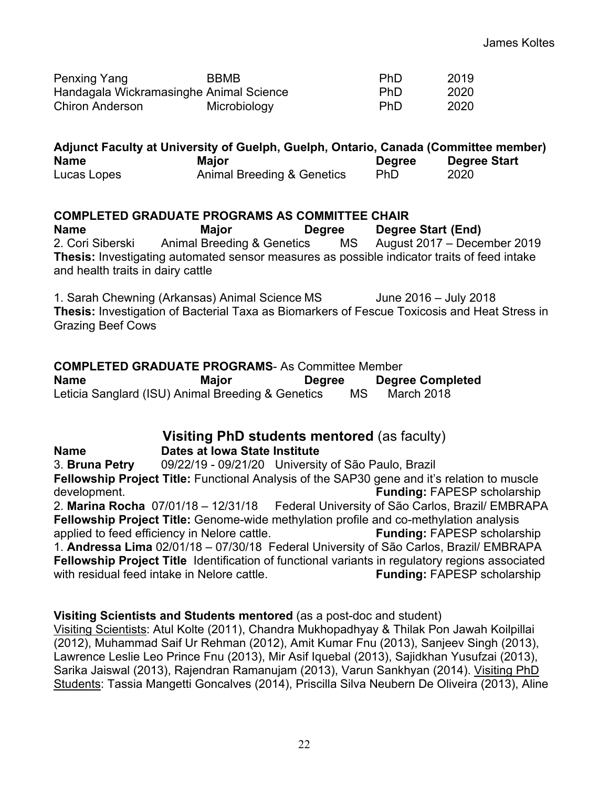| <b>Penxing Yang</b>                     | <b>BBMB</b>  | <b>PhD</b> | 2019 |
|-----------------------------------------|--------------|------------|------|
| Handagala Wickramasinghe Animal Science |              | <b>PhD</b> | 2020 |
| <b>Chiron Anderson</b>                  | Microbiology | <b>PhD</b> | 2020 |

| Adjunct Faculty at University of Guelph, Guelph, Ontario, Canada (Committee member) |                                       |               |                     |  |
|-------------------------------------------------------------------------------------|---------------------------------------|---------------|---------------------|--|
| <b>Name</b>                                                                         | <b>Maior</b>                          | <b>Degree</b> | <b>Degree Start</b> |  |
| Lucas Lopes                                                                         | <b>Animal Breeding &amp; Genetics</b> | <b>PhD</b>    | 2020                |  |

#### **COMPLETED GRADUATE PROGRAMS AS COMMITTEE CHAIR**

**Name Major Degree Degree Start (End)** 2. Cori Siberski Animal Breeding & Genetics MS August 2017 – December 2019 **Thesis:** Investigating automated sensor measures as possible indicator traits of feed intake and health traits in dairy cattle

1. Sarah Chewning (Arkansas) Animal Science MS June 2016 – July 2018 **Thesis:** Investigation of Bacterial Taxa as Biomarkers of Fescue Toxicosis and Heat Stress in Grazing Beef Cows

**COMPLETED GRADUATE PROGRAMS**- As Committee Member **Name Major Degree Degree Completed** Leticia Sanglard (ISU) Animal Breeding & Genetics MS March 2018

## **Visiting PhD students mentored** (as faculty)

#### **Name Dates at Iowa State Institute**

3. **Bruna Petry** 09/22/19 - 09/21/20 University of São Paulo, Brazil **Fellowship Project Title:** Functional Analysis of the SAP30 gene and it's relation to muscle development. **Funding:** FAPESP scholarship 2. **Marina Rocha** 07/01/18 – 12/31/18 Federal University of São Carlos, Brazil/ EMBRAPA **Fellowship Project Title:** Genome-wide methylation profile and co-methylation analysis applied to feed efficiency in Nelore cattle. **Funding:** FAPESP scholarship 1. **Andressa Lima** 02/01/18 – 07/30/18 Federal University of São Carlos, Brazil/ EMBRAPA **Fellowship Project Title** Identification of functional variants in regulatory regions associated with residual feed intake in Nelore cattle. **Funding: FAPESP** scholarship

#### **Visiting Scientists and Students mentored** (as a post-doc and student)

Visiting Scientists: Atul Kolte (2011), Chandra Mukhopadhyay & Thilak Pon Jawah Koilpillai (2012), Muhammad Saif Ur Rehman (2012), Amit Kumar Fnu (2013), Sanjeev Singh (2013), Lawrence Leslie Leo Prince Fnu (2013), Mir Asif Iquebal (2013), Sajidkhan Yusufzai (2013), Sarika Jaiswal (2013), Rajendran Ramanujam (2013), Varun Sankhyan (2014). Visiting PhD Students: Tassia Mangetti Goncalves (2014), Priscilla Silva Neubern De Oliveira (2013), Aline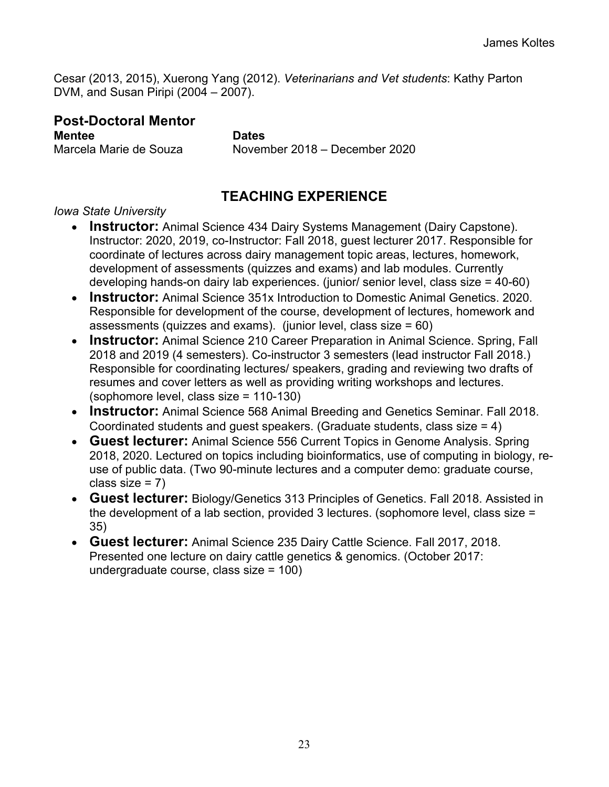Cesar (2013, 2015), Xuerong Yang (2012). *Veterinarians and Vet students*: Kathy Parton DVM, and Susan Piripi (2004 – 2007).

# **Post-Doctoral Mentor**

**Mentee Dates**

Marcela Marie de Souza November 2018 – December 2020

# **TEACHING EXPERIENCE**

### *Iowa State University*

- **Instructor:** Animal Science 434 Dairy Systems Management (Dairy Capstone). Instructor: 2020, 2019, co-Instructor: Fall 2018, guest lecturer 2017. Responsible for coordinate of lectures across dairy management topic areas, lectures, homework, development of assessments (quizzes and exams) and lab modules. Currently developing hands-on dairy lab experiences. (junior/ senior level, class size = 40-60)
- **Instructor:** Animal Science 351x Introduction to Domestic Animal Genetics. 2020. Responsible for development of the course, development of lectures, homework and assessments (quizzes and exams). (junior level, class size = 60)
- **Instructor:** Animal Science 210 Career Preparation in Animal Science. Spring, Fall 2018 and 2019 (4 semesters). Co-instructor 3 semesters (lead instructor Fall 2018.) Responsible for coordinating lectures/ speakers, grading and reviewing two drafts of resumes and cover letters as well as providing writing workshops and lectures. (sophomore level, class size = 110-130)
- **Instructor:** Animal Science 568 Animal Breeding and Genetics Seminar. Fall 2018. Coordinated students and guest speakers. (Graduate students, class size = 4)
- **Guest lecturer:** Animal Science 556 Current Topics in Genome Analysis. Spring 2018, 2020. Lectured on topics including bioinformatics, use of computing in biology, reuse of public data. (Two 90-minute lectures and a computer demo: graduate course, class size  $= 7$ )
- **Guest lecturer:** Biology/Genetics 313 Principles of Genetics. Fall 2018. Assisted in the development of a lab section, provided 3 lectures. (sophomore level, class size = 35)
- **Guest lecturer:** Animal Science 235 Dairy Cattle Science. Fall 2017, 2018. Presented one lecture on dairy cattle genetics & genomics. (October 2017: undergraduate course, class size = 100)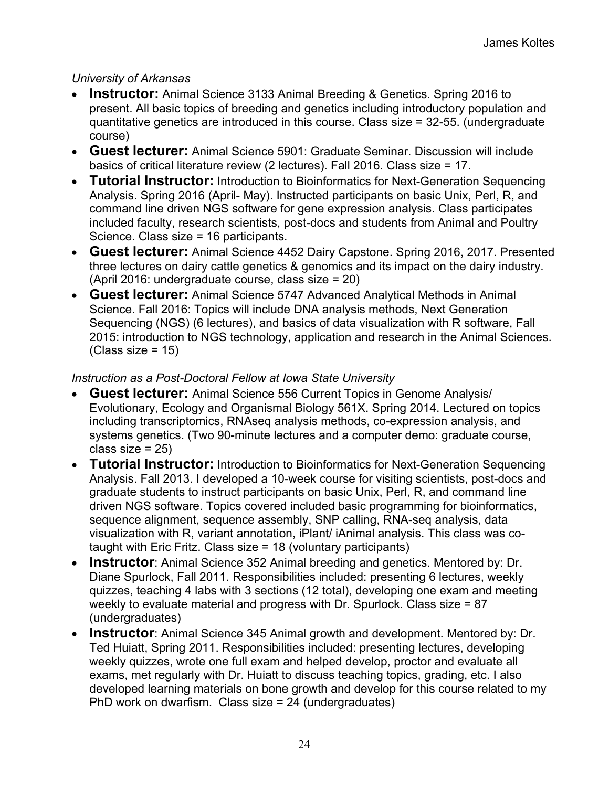### *University of Arkansas*

- **Instructor:** Animal Science 3133 Animal Breeding & Genetics. Spring 2016 to present. All basic topics of breeding and genetics including introductory population and quantitative genetics are introduced in this course. Class size = 32-55. (undergraduate course)
- **Guest lecturer:** Animal Science 5901: Graduate Seminar. Discussion will include basics of critical literature review (2 lectures). Fall 2016. Class size = 17.
- **Tutorial Instructor:** Introduction to Bioinformatics for Next-Generation Sequencing Analysis. Spring 2016 (April- May). Instructed participants on basic Unix, Perl, R, and command line driven NGS software for gene expression analysis. Class participates included faculty, research scientists, post-docs and students from Animal and Poultry Science. Class size = 16 participants.
- **Guest lecturer:** Animal Science 4452 Dairy Capstone. Spring 2016, 2017. Presented three lectures on dairy cattle genetics & genomics and its impact on the dairy industry. (April 2016: undergraduate course, class size = 20)
- **Guest lecturer:** Animal Science 5747 Advanced Analytical Methods in Animal Science. Fall 2016: Topics will include DNA analysis methods, Next Generation Sequencing (NGS) (6 lectures), and basics of data visualization with R software, Fall 2015: introduction to NGS technology, application and research in the Animal Sciences.  $(Class size = 15)$

### *Instruction as a Post-Doctoral Fellow at Iowa State University*

- **Guest lecturer:** Animal Science 556 Current Topics in Genome Analysis/ Evolutionary, Ecology and Organismal Biology 561X. Spring 2014. Lectured on topics including transcriptomics, RNAseq analysis methods, co-expression analysis, and systems genetics. (Two 90-minute lectures and a computer demo: graduate course, class size  $= 25$ )
- **Tutorial Instructor:** Introduction to Bioinformatics for Next-Generation Sequencing Analysis. Fall 2013. I developed a 10-week course for visiting scientists, post-docs and graduate students to instruct participants on basic Unix, Perl, R, and command line driven NGS software. Topics covered included basic programming for bioinformatics, sequence alignment, sequence assembly, SNP calling, RNA-seq analysis, data visualization with R, variant annotation, iPlant/ iAnimal analysis. This class was cotaught with Eric Fritz. Class size = 18 (voluntary participants)
- **Instructor**: Animal Science 352 Animal breeding and genetics. Mentored by: Dr. Diane Spurlock, Fall 2011. Responsibilities included: presenting 6 lectures, weekly quizzes, teaching 4 labs with 3 sections (12 total), developing one exam and meeting weekly to evaluate material and progress with Dr. Spurlock. Class size = 87 (undergraduates)
- **Instructor**: Animal Science 345 Animal growth and development. Mentored by: Dr. Ted Huiatt, Spring 2011. Responsibilities included: presenting lectures, developing weekly quizzes, wrote one full exam and helped develop, proctor and evaluate all exams, met regularly with Dr. Huiatt to discuss teaching topics, grading, etc. I also developed learning materials on bone growth and develop for this course related to my PhD work on dwarfism. Class size = 24 (undergraduates)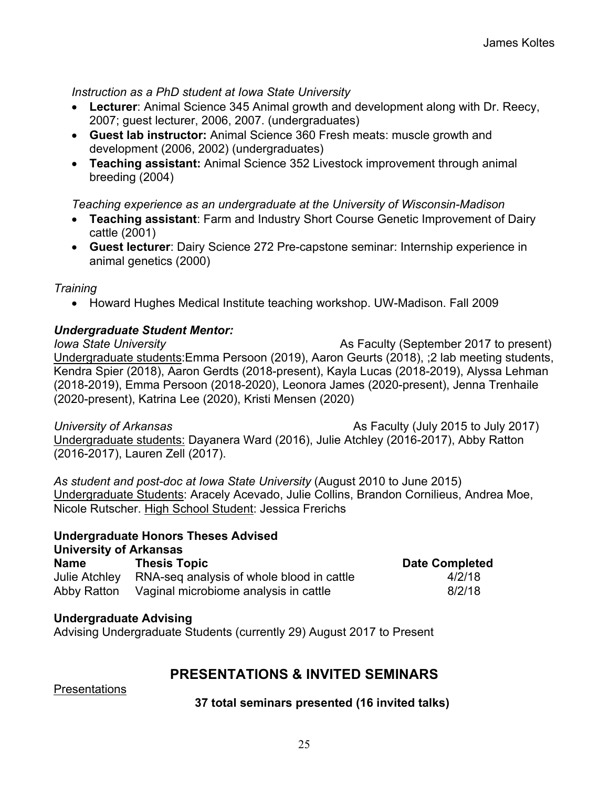*Instruction as a PhD student at Iowa State University*

- **Lecturer**: Animal Science 345 Animal growth and development along with Dr. Reecy, 2007; guest lecturer, 2006, 2007. (undergraduates)
- **Guest lab instructor:** Animal Science 360 Fresh meats: muscle growth and development (2006, 2002) (undergraduates)
- **Teaching assistant:** Animal Science 352 Livestock improvement through animal breeding (2004)

### *Teaching experience as an undergraduate at the University of Wisconsin-Madison*

- **Teaching assistant**: Farm and Industry Short Course Genetic Improvement of Dairy cattle (2001)
- **Guest lecturer**: Dairy Science 272 Pre-capstone seminar: Internship experience in animal genetics (2000)

*Training*

• Howard Hughes Medical Institute teaching workshop. UW-Madison. Fall 2009

### *Undergraduate Student Mentor:*

*Iowa State University* As Faculty (September 2017 to present) Undergraduate students:Emma Persoon (2019), Aaron Geurts (2018), ;2 lab meeting students, Kendra Spier (2018), Aaron Gerdts (2018-present), Kayla Lucas (2018-2019), Alyssa Lehman (2018-2019), Emma Persoon (2018-2020), Leonora James (2020-present), Jenna Trenhaile (2020-present), Katrina Lee (2020), Kristi Mensen (2020)

*University of Arkansas* **As Faculty (July 2015 to July 2017)** Undergraduate students: Dayanera Ward (2016), Julie Atchley (2016-2017), Abby Ratton (2016-2017), Lauren Zell (2017).

*As student and post-doc at Iowa State University* (August 2010 to June 2015) Undergraduate Students: Aracely Acevado, Julie Collins, Brandon Cornilieus, Andrea Moe, Nicole Rutscher. High School Student: Jessica Frerichs

#### **Undergraduate Honors Theses Advised University of Arkansas**

| _ _ _ _ _ _ _ _ _ _ _ _ _ _ _ _ _ _ _ _<br><b>Name</b> | <b>Thesis Topic</b>                                     | <b>Date Completed</b> |
|--------------------------------------------------------|---------------------------------------------------------|-----------------------|
|                                                        | Julie Atchley RNA-seq analysis of whole blood in cattle | 4/2/18                |
|                                                        | Abby Ratton Vaginal microbiome analysis in cattle       | 8/2/18                |

### **Undergraduate Advising**

Advising Undergraduate Students (currently 29) August 2017 to Present

# **PRESENTATIONS & INVITED SEMINARS**

Presentations

**37 total seminars presented (16 invited talks)**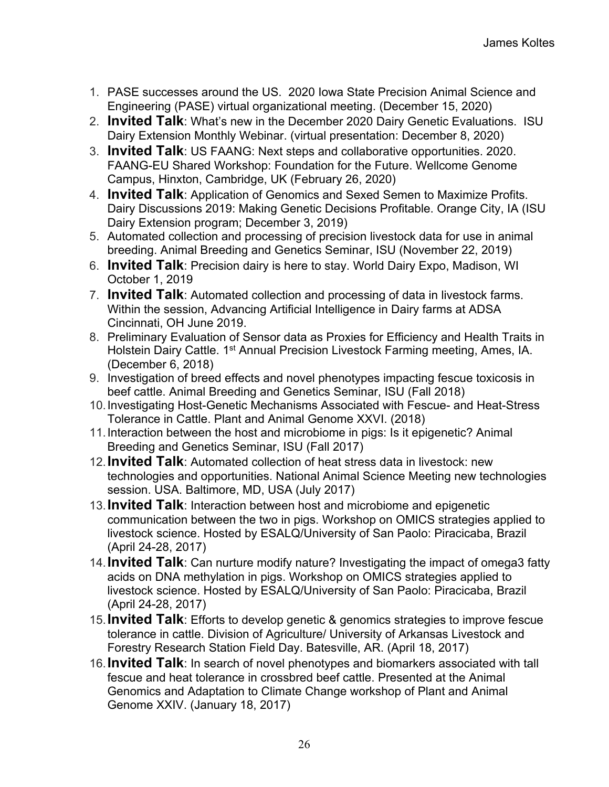- 1. PASE successes around the US. 2020 Iowa State Precision Animal Science and Engineering (PASE) virtual organizational meeting. (December 15, 2020)
- 2. **Invited Talk**: What's new in the December 2020 Dairy Genetic Evaluations. ISU Dairy Extension Monthly Webinar. (virtual presentation: December 8, 2020)
- 3. **Invited Talk**: US FAANG: Next steps and collaborative opportunities. 2020. FAANG-EU Shared Workshop: Foundation for the Future. Wellcome Genome Campus, Hinxton, Cambridge, UK (February 26, 2020)
- 4. **Invited Talk**: Application of Genomics and Sexed Semen to Maximize Profits. Dairy Discussions 2019: Making Genetic Decisions Profitable. Orange City, IA (ISU Dairy Extension program; December 3, 2019)
- 5. Automated collection and processing of precision livestock data for use in animal breeding. Animal Breeding and Genetics Seminar, ISU (November 22, 2019)
- 6. **Invited Talk**: Precision dairy is here to stay. World Dairy Expo, Madison, WI October 1, 2019
- 7. **Invited Talk**: Automated collection and processing of data in livestock farms. Within the session, Advancing Artificial Intelligence in Dairy farms at ADSA Cincinnati, OH June 2019.
- 8. Preliminary Evaluation of Sensor data as Proxies for Efficiency and Health Traits in Holstein Dairy Cattle. 1<sup>st</sup> Annual Precision Livestock Farming meeting, Ames, IA. (December 6, 2018)
- 9. Investigation of breed effects and novel phenotypes impacting fescue toxicosis in beef cattle. Animal Breeding and Genetics Seminar, ISU (Fall 2018)
- 10.Investigating Host-Genetic Mechanisms Associated with Fescue- and Heat-Stress Tolerance in Cattle. Plant and Animal Genome XXVI. (2018)
- 11.Interaction between the host and microbiome in pigs: Is it epigenetic? Animal Breeding and Genetics Seminar, ISU (Fall 2017)
- 12.**Invited Talk**: Automated collection of heat stress data in livestock: new technologies and opportunities. National Animal Science Meeting new technologies session. USA. Baltimore, MD, USA (July 2017)
- 13.**Invited Talk**: Interaction between host and microbiome and epigenetic communication between the two in pigs. Workshop on OMICS strategies applied to livestock science. Hosted by ESALQ/University of San Paolo: Piracicaba, Brazil (April 24-28, 2017)
- 14.**Invited Talk**: Can nurture modify nature? Investigating the impact of omega3 fatty acids on DNA methylation in pigs. Workshop on OMICS strategies applied to livestock science. Hosted by ESALQ/University of San Paolo: Piracicaba, Brazil (April 24-28, 2017)
- 15.**Invited Talk**: Efforts to develop genetic & genomics strategies to improve fescue tolerance in cattle. Division of Agriculture/ University of Arkansas Livestock and Forestry Research Station Field Day. Batesville, AR. (April 18, 2017)
- 16.**Invited Talk**: In search of novel phenotypes and biomarkers associated with tall fescue and heat tolerance in crossbred beef cattle. Presented at the Animal Genomics and Adaptation to Climate Change workshop of Plant and Animal Genome XXIV. (January 18, 2017)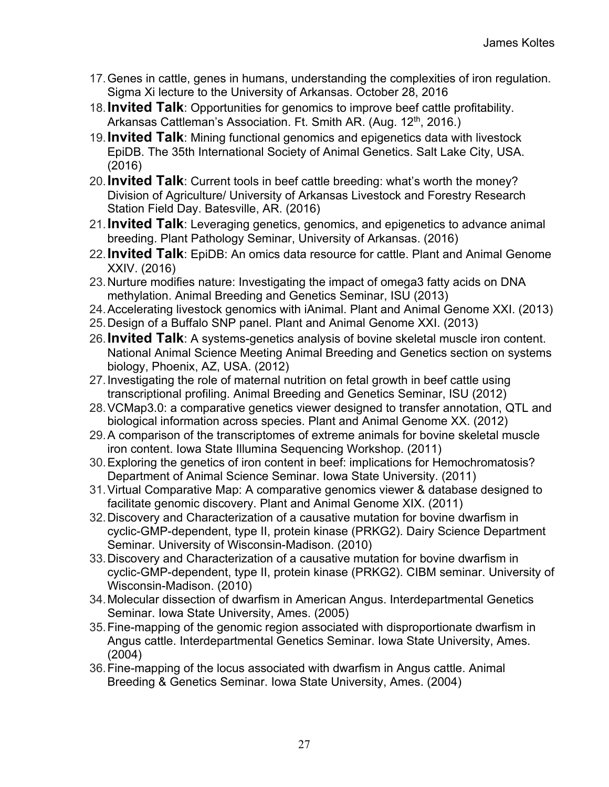- 17.Genes in cattle, genes in humans, understanding the complexities of iron regulation. Sigma Xi lecture to the University of Arkansas. October 28, 2016
- 18.**Invited Talk**: Opportunities for genomics to improve beef cattle profitability. Arkansas Cattleman's Association. Ft. Smith AR. (Aug. 12<sup>th</sup>, 2016.)
- 19.**Invited Talk**: Mining functional genomics and epigenetics data with livestock EpiDB. The 35th International Society of Animal Genetics. Salt Lake City, USA. (2016)
- 20.**Invited Talk**: Current tools in beef cattle breeding: what's worth the money? Division of Agriculture/ University of Arkansas Livestock and Forestry Research Station Field Day. Batesville, AR. (2016)
- 21.**Invited Talk**: Leveraging genetics, genomics, and epigenetics to advance animal breeding. Plant Pathology Seminar, University of Arkansas. (2016)
- 22.**Invited Talk**: EpiDB: An omics data resource for cattle. Plant and Animal Genome XXIV. (2016)
- 23.Nurture modifies nature: Investigating the impact of omega3 fatty acids on DNA methylation. Animal Breeding and Genetics Seminar, ISU (2013)
- 24.Accelerating livestock genomics with iAnimal. Plant and Animal Genome XXI. (2013)
- 25.Design of a Buffalo SNP panel. Plant and Animal Genome XXI. (2013)
- 26.**Invited Talk**: A systems-genetics analysis of bovine skeletal muscle iron content. National Animal Science Meeting Animal Breeding and Genetics section on systems biology, Phoenix, AZ, USA. (2012)
- 27.Investigating the role of maternal nutrition on fetal growth in beef cattle using transcriptional profiling. Animal Breeding and Genetics Seminar, ISU (2012)
- 28.VCMap3.0: a comparative genetics viewer designed to transfer annotation, QTL and biological information across species. Plant and Animal Genome XX. (2012)
- 29.A comparison of the transcriptomes of extreme animals for bovine skeletal muscle iron content. Iowa State Illumina Sequencing Workshop. (2011)
- 30.Exploring the genetics of iron content in beef: implications for Hemochromatosis? Department of Animal Science Seminar. Iowa State University. (2011)
- 31.Virtual Comparative Map: A comparative genomics viewer & database designed to facilitate genomic discovery. Plant and Animal Genome XIX. (2011)
- 32.Discovery and Characterization of a causative mutation for bovine dwarfism in cyclic-GMP-dependent, type II, protein kinase (PRKG2). Dairy Science Department Seminar. University of Wisconsin-Madison. (2010)
- 33.Discovery and Characterization of a causative mutation for bovine dwarfism in cyclic-GMP-dependent, type II, protein kinase (PRKG2). CIBM seminar. University of Wisconsin-Madison. (2010)
- 34.Molecular dissection of dwarfism in American Angus. Interdepartmental Genetics Seminar. Iowa State University, Ames. (2005)
- 35.Fine-mapping of the genomic region associated with disproportionate dwarfism in Angus cattle. Interdepartmental Genetics Seminar. Iowa State University, Ames. (2004)
- 36.Fine-mapping of the locus associated with dwarfism in Angus cattle. Animal Breeding & Genetics Seminar. Iowa State University, Ames. (2004)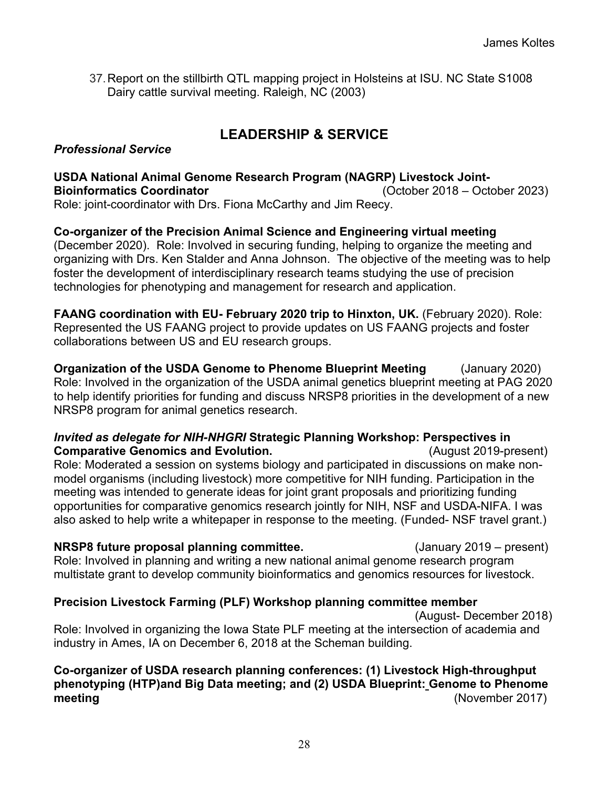37.Report on the stillbirth QTL mapping project in Holsteins at ISU. NC State S1008 Dairy cattle survival meeting. Raleigh, NC (2003)

# **LEADERSHIP & SERVICE**

#### *Professional Service*

#### **USDA National Animal Genome Research Program (NAGRP) Livestock Joint-Bioinformatics Coordinator** (October 2018 – October 2023) Role: joint-coordinator with Drs. Fiona McCarthy and Jim Reecy.

**Co-organizer of the Precision Animal Science and Engineering virtual meeting**  (December 2020). Role: Involved in securing funding, helping to organize the meeting and organizing with Drs. Ken Stalder and Anna Johnson. The objective of the meeting was to help foster the development of interdisciplinary research teams studying the use of precision technologies for phenotyping and management for research and application.

**FAANG coordination with EU- February 2020 trip to Hinxton, UK.** (February 2020). Role: Represented the US FAANG project to provide updates on US FAANG projects and foster collaborations between US and EU research groups.

**Organization of the USDA Genome to Phenome Blueprint Meeting** (January 2020) Role: Involved in the organization of the USDA animal genetics blueprint meeting at PAG 2020 to help identify priorities for funding and discuss NRSP8 priorities in the development of a new NRSP8 program for animal genetics research.

#### *Invited as delegate for NIH-NHGRI* **Strategic Planning Workshop: Perspectives in Comparative Genomics and Evolution.** Comparative Genomics and Evolution.

Role: Moderated a session on systems biology and participated in discussions on make nonmodel organisms (including livestock) more competitive for NIH funding. Participation in the meeting was intended to generate ideas for joint grant proposals and prioritizing funding opportunities for comparative genomics research jointly for NIH, NSF and USDA-NIFA. I was also asked to help write a whitepaper in response to the meeting. (Funded- NSF travel grant.)

**NRSP8 future proposal planning committee.** (January 2019 – present) Role: Involved in planning and writing a new national animal genome research program multistate grant to develop community bioinformatics and genomics resources for livestock.

### **Precision Livestock Farming (PLF) Workshop planning committee member**

(August- December 2018)

Role: Involved in organizing the Iowa State PLF meeting at the intersection of academia and industry in Ames, IA on December 6, 2018 at the Scheman building.

**Co-organizer of USDA research planning conferences: (1) Livestock High-throughput phenotyping (HTP)and Big Data meeting; and (2) USDA Blueprint: Genome to Phenome meeting** (November 2017)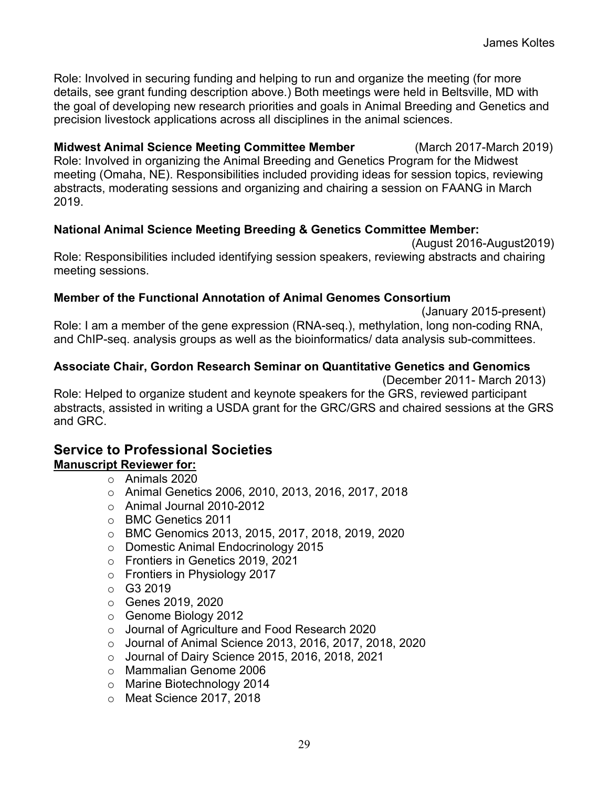Role: Involved in securing funding and helping to run and organize the meeting (for more details, see grant funding description above.) Both meetings were held in Beltsville, MD with the goal of developing new research priorities and goals in Animal Breeding and Genetics and precision livestock applications across all disciplines in the animal sciences.

**Midwest Animal Science Meeting Committee Member** (March 2017-March 2019) Role: Involved in organizing the Animal Breeding and Genetics Program for the Midwest meeting (Omaha, NE). Responsibilities included providing ideas for session topics, reviewing abstracts, moderating sessions and organizing and chairing a session on FAANG in March 2019.

### **National Animal Science Meeting Breeding & Genetics Committee Member:**

(August 2016-August2019) Role: Responsibilities included identifying session speakers, reviewing abstracts and chairing meeting sessions.

### **Member of the Functional Annotation of Animal Genomes Consortium**

 (January 2015-present) Role: I am a member of the gene expression (RNA-seq.), methylation, long non-coding RNA, and ChIP-seq. analysis groups as well as the bioinformatics/ data analysis sub-committees.

# **Associate Chair, Gordon Research Seminar on Quantitative Genetics and Genomics**

 (December 2011- March 2013) Role: Helped to organize student and keynote speakers for the GRS, reviewed participant abstracts, assisted in writing a USDA grant for the GRC/GRS and chaired sessions at the GRS and GRC.

#### **Service to Professional Societies Manuscript Reviewer for:**

### o Animals 2020

- o Animal Genetics 2006, 2010, 2013, 2016, 2017, 2018
- o Animal Journal 2010-2012
- o BMC Genetics 2011
- o BMC Genomics 2013, 2015, 2017, 2018, 2019, 2020
- o Domestic Animal Endocrinology 2015
- o Frontiers in Genetics 2019, 2021
- o Frontiers in Physiology 2017
- $O$  G3 2019
- o Genes 2019, 2020
- o Genome Biology 2012
- o Journal of Agriculture and Food Research 2020
- o Journal of Animal Science 2013, 2016, 2017, 2018, 2020
- o Journal of Dairy Science 2015, 2016, 2018, 2021
- o Mammalian Genome 2006
- o Marine Biotechnology 2014
- o Meat Science 2017, 2018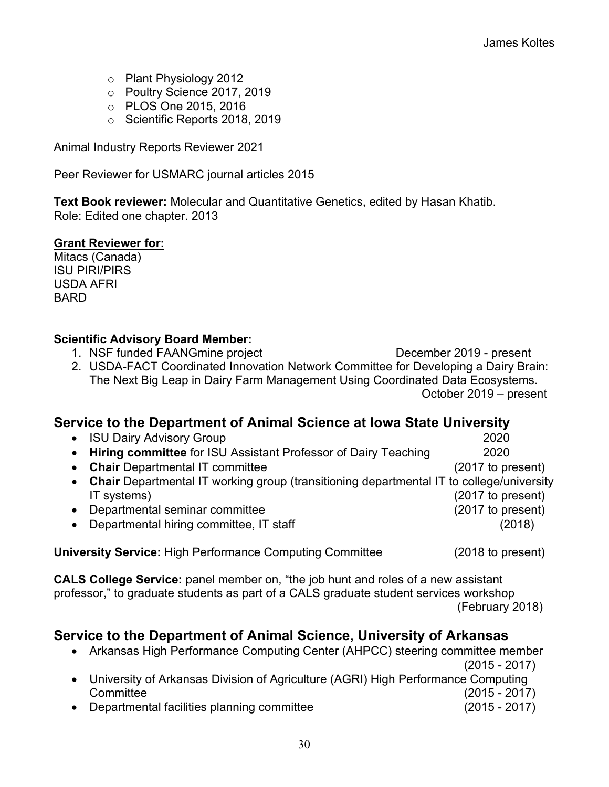- o Plant Physiology 2012
- o Poultry Science 2017, 2019
- o PLOS One 2015, 2016
- o Scientific Reports 2018, 2019

Animal Industry Reports Reviewer 2021

Peer Reviewer for USMARC journal articles 2015

**Text Book reviewer:** Molecular and Quantitative Genetics, edited by Hasan Khatib. Role: Edited one chapter. 2013

#### **Grant Reviewer for:**

Mitacs (Canada) ISU PIRI/PIRS USDA AFRI **BARD** 

### **Scientific Advisory Board Member:**

- 1. NSF funded FAANGmine project December 2019 present
- 2. USDA-FACT Coordinated Innovation Network Committee for Developing a Dairy Brain: The Next Big Leap in Dairy Farm Management Using Coordinated Data Ecosystems. October 2019 – present

## **Service to the Department of Animal Science at Iowa State University**

• ISU Dairy Advisory Group 2020 • **Hiring committee** for ISU Assistant Professor of Dairy Teaching 2020 • **Chair** Departmental IT committee (2017 to present) • **Chair** Departmental IT working group (transitioning departmental IT to college/university IT systems) (2017 to present) • Departmental seminar committee (2017 to present) • Departmental hiring committee, IT staff (2018)

**University Service:** High Performance Computing Committee (2018 to present)

**CALS College Service:** panel member on, "the job hunt and roles of a new assistant professor," to graduate students as part of a CALS graduate student services workshop (February 2018)

# **Service to the Department of Animal Science, University of Arkansas**

| Arkansas High Performance Computing Center (AHPCC) steering committee member       |                 |
|------------------------------------------------------------------------------------|-----------------|
|                                                                                    | $(2015 - 2017)$ |
| • University of Arkansas Division of Agriculture (AGRI) High Performance Computing |                 |
| Committee                                                                          | $(2015 - 2017)$ |
| Departmental facilities planning committee                                         | $(2015 - 2017)$ |